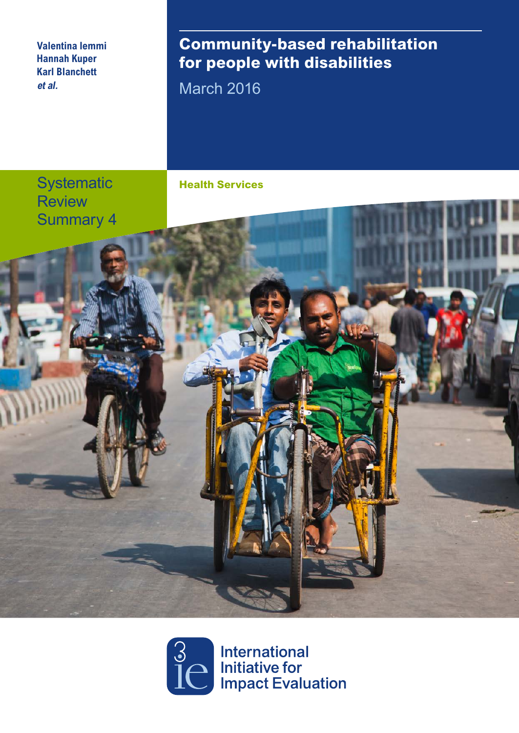**Valentina Iemmi Hannah Kuper Karl Blanchett et al.**

# **Community-based rehabilitation for people with disabilities**

March 2016

**Systematic Review** Summary 4





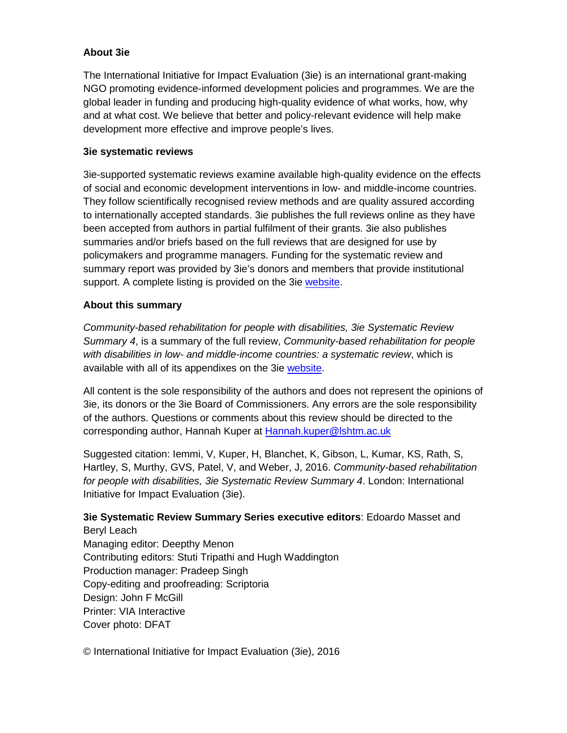#### **About 3ie**

The International Initiative for Impact Evaluation (3ie) is an international grant-making NGO promoting evidence-informed development policies and programmes. We are the global leader in funding and producing high-quality evidence of what works, how, why and at what cost. We believe that better and policy-relevant evidence will help make development more effective and improve people's lives.

#### **3ie systematic reviews**

3ie-supported systematic reviews examine available high-quality evidence on the effects of social and economic development interventions in low- and middle-income countries. They follow scientifically recognised review methods and are quality assured according to internationally accepted standards. 3ie publishes the full reviews online as they have been accepted from authors in partial fulfilment of their grants. 3ie also publishes summaries and/or briefs based on the full reviews that are designed for use by policymakers and programme managers. Funding for the systematic review and summary report was provided by 3ie's donors and members that provide institutional support. A complete listing is provided on the 3ie [website.](http://www.3ieimpact.org/en/about/3ie-affiliates/3ie-members/)

#### **About this summary**

*Community-based rehabilitation for people with disabilities, 3ie Systematic Review Summary 4*, is a summary of the full review, *Community-based rehabilitation for people with disabilities in low- and middle-income countries: a systematic review*, which is available with all of its appendixes on the 3ie [website.](http://www.3ieimpact.org/evidence/systematic-reviews/details/209/)

All content is the sole responsibility of the authors and does not represent the opinions of 3ie, its donors or the 3ie Board of Commissioners. Any errors are the sole responsibility of the authors. Questions or comments about this review should be directed to the corresponding author, Hannah Kuper at [Hannah.kuper@lshtm.ac.uk](mailto:Hannah.kuper@lshtm.ac.uk)

Suggested citation: Iemmi, V, Kuper, H, Blanchet, K, Gibson, L, Kumar, KS, Rath, S, Hartley, S, Murthy, GVS, Patel, V, and Weber, J, 2016. *Community-based rehabilitation for people with disabilities, 3ie Systematic Review Summary 4*. London: International Initiative for Impact Evaluation (3ie).

#### **3ie Systematic Review Summary Series executive editors**: Edoardo Masset and Beryl Leach

Managing editor: Deepthy Menon Contributing editors: Stuti Tripathi and Hugh Waddington Production manager: Pradeep Singh Copy-editing and proofreading: Scriptoria Design: John F McGill Printer: VIA Interactive Cover photo: DFAT

© International Initiative for Impact Evaluation (3ie), 2016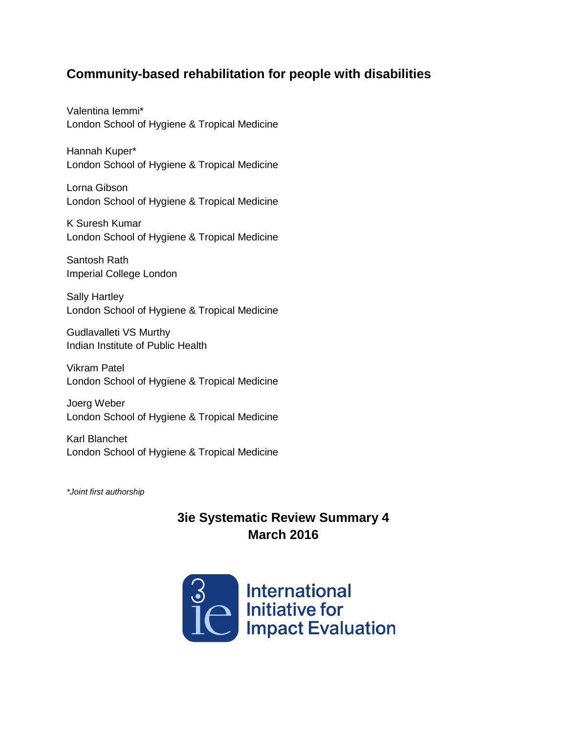## **Community-based rehabilitation for people with disabilities**

Valentina Iemmi\* London School of Hygiene & Tropical Medicine

Hannah Kuper\* London School of Hygiene & Tropical Medicine

Lorna Gibson London School of Hygiene & Tropical Medicine

K Suresh Kumar London School of Hygiene & Tropical Medicine

Santosh Rath Imperial College London

Sally Hartley London School of Hygiene & Tropical Medicine

Gudlavalleti VS Murthy Indian Institute of Public Health

Vikram Patel London School of Hygiene & Tropical Medicine

Joerg Weber London School of Hygiene & Tropical Medicine

Karl Blanchet London School of Hygiene & Tropical Medicine

*\*Joint first authorship*

# **3ie Systematic Review Summary 4 March 2016**

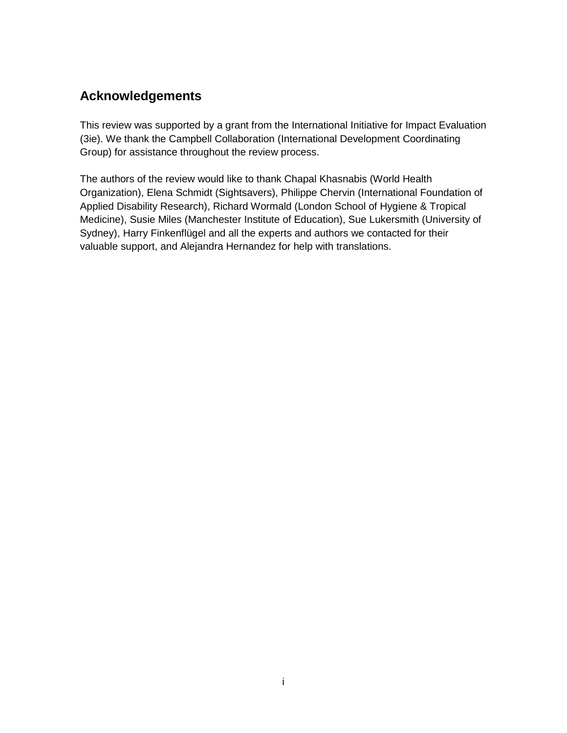# <span id="page-3-0"></span>**Acknowledgements**

This review was supported by a grant from the International Initiative for Impact Evaluation (3ie). We thank the Campbell Collaboration (International Development Coordinating Group) for assistance throughout the review process.

The authors of the review would like to thank Chapal Khasnabis (World Health Organization), Elena Schmidt (Sightsavers), Philippe Chervin (International Foundation of Applied Disability Research), Richard Wormald (London School of Hygiene & Tropical Medicine), Susie Miles (Manchester Institute of Education), Sue Lukersmith (University of Sydney), Harry Finkenflügel and all the experts and authors we contacted for their valuable support, and Alejandra Hernandez for help with translations.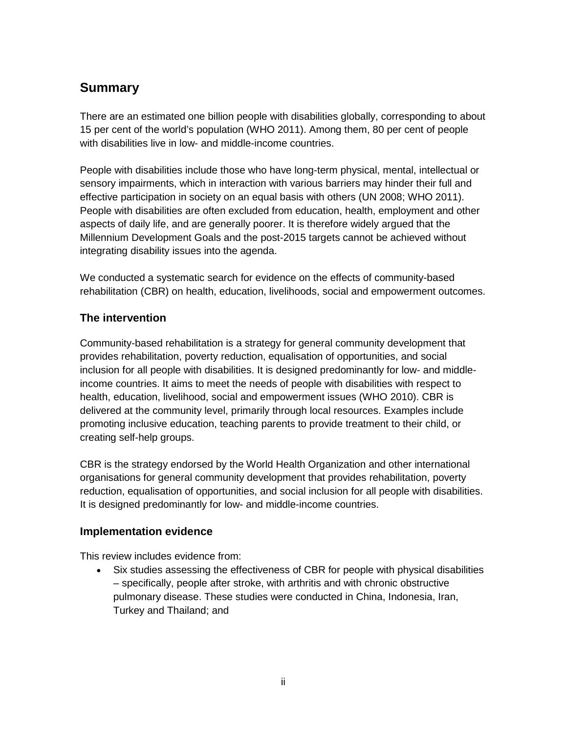# <span id="page-4-0"></span>**Summary**

There are an estimated one billion people with disabilities globally, corresponding to about 15 per cent of the world's population (WHO 2011). Among them, 80 per cent of people with disabilities live in low- and middle-income countries.

People with disabilities include those who have long-term physical, mental, intellectual or sensory impairments, which in interaction with various barriers may hinder their full and effective participation in society on an equal basis with others (UN 2008; WHO 2011). People with disabilities are often excluded from education, health, employment and other aspects of daily life, and are generally poorer. It is therefore widely argued that the Millennium Development Goals and the post-2015 targets cannot be achieved without integrating disability issues into the agenda.

We conducted a systematic search for evidence on the effects of community-based rehabilitation (CBR) on health, education, livelihoods, social and empowerment outcomes.

### **The intervention**

Community-based rehabilitation is a strategy for general community development that provides rehabilitation, poverty reduction, equalisation of opportunities, and social inclusion for all people with disabilities. It is designed predominantly for low- and middleincome countries. It aims to meet the needs of people with disabilities with respect to health, education, livelihood, social and empowerment issues (WHO 2010). CBR is delivered at the community level, primarily through local resources. Examples include promoting inclusive education, teaching parents to provide treatment to their child, or creating self-help groups.

CBR is the strategy endorsed by the World Health Organization and other international organisations for general community development that provides rehabilitation, poverty reduction, equalisation of opportunities, and social inclusion for all people with disabilities. It is designed predominantly for low- and middle-income countries.

### **Implementation evidence**

This review includes evidence from:

Six studies assessing the effectiveness of CBR for people with physical disabilities – specifically, people after stroke, with arthritis and with chronic obstructive pulmonary disease. These studies were conducted in China, Indonesia, Iran, Turkey and Thailand; and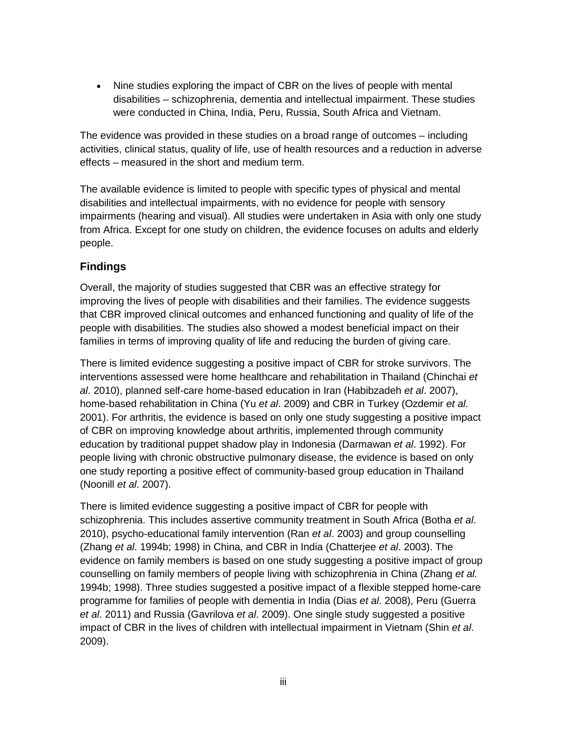• Nine studies exploring the impact of CBR on the lives of people with mental disabilities – schizophrenia, dementia and intellectual impairment. These studies were conducted in China, India, Peru, Russia, South Africa and Vietnam.

The evidence was provided in these studies on a broad range of outcomes – including activities, clinical status, quality of life, use of health resources and a reduction in adverse effects – measured in the short and medium term.

The available evidence is limited to people with specific types of physical and mental disabilities and intellectual impairments, with no evidence for people with sensory impairments (hearing and visual). All studies were undertaken in Asia with only one study from Africa. Except for one study on children, the evidence focuses on adults and elderly people.

### **Findings**

Overall, the majority of studies suggested that CBR was an effective strategy for improving the lives of people with disabilities and their families. The evidence suggests that CBR improved clinical outcomes and enhanced functioning and quality of life of the people with disabilities. The studies also showed a modest beneficial impact on their families in terms of improving quality of life and reducing the burden of giving care.

There is limited evidence suggesting a positive impact of CBR for stroke survivors. The interventions assessed were home healthcare and rehabilitation in Thailand (Chinchai *et al*. 2010), planned self-care home-based education in Iran (Habibzadeh *et al*. 2007), home-based rehabilitation in China (Yu *et al*. 2009) and CBR in Turkey (Ozdemir *et al*. 2001). For arthritis, the evidence is based on only one study suggesting a positive impact of CBR on improving knowledge about arthritis, implemented through community education by traditional puppet shadow play in Indonesia (Darmawan *et al*. 1992). For people living with chronic obstructive pulmonary disease, the evidence is based on only one study reporting a positive effect of community-based group education in Thailand (Noonill *et al*. 2007).

There is limited evidence suggesting a positive impact of CBR for people with schizophrenia. This includes assertive community treatment in South Africa (Botha *et al*. 2010), psycho-educational family intervention (Ran *et al*. 2003) and group counselling (Zhang *et al*. 1994b; 1998) in China, and CBR in India (Chatterjee *et al*. 2003). The evidence on family members is based on one study suggesting a positive impact of group counselling on family members of people living with schizophrenia in China (Zhang *et al.*  1994b; 1998). Three studies suggested a positive impact of a flexible stepped home-care programme for families of people with dementia in India (Dias *et al*. 2008), Peru (Guerra *et al*. 2011) and Russia (Gavrilova *et al*. 2009). One single study suggested a positive impact of CBR in the lives of children with intellectual impairment in Vietnam (Shin *et al*. 2009).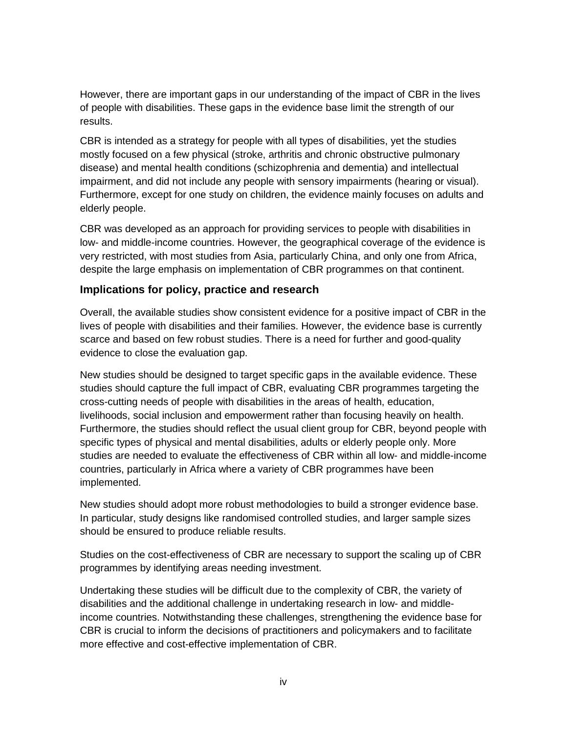However, there are important gaps in our understanding of the impact of CBR in the lives of people with disabilities. These gaps in the evidence base limit the strength of our results.

CBR is intended as a strategy for people with all types of disabilities, yet the studies mostly focused on a few physical (stroke, arthritis and chronic obstructive pulmonary disease) and mental health conditions (schizophrenia and dementia) and intellectual impairment, and did not include any people with sensory impairments (hearing or visual). Furthermore, except for one study on children, the evidence mainly focuses on adults and elderly people.

CBR was developed as an approach for providing services to people with disabilities in low- and middle-income countries. However, the geographical coverage of the evidence is very restricted, with most studies from Asia, particularly China, and only one from Africa, despite the large emphasis on implementation of CBR programmes on that continent.

#### **Implications for policy, practice and research**

Overall, the available studies show consistent evidence for a positive impact of CBR in the lives of people with disabilities and their families. However, the evidence base is currently scarce and based on few robust studies. There is a need for further and good-quality evidence to close the evaluation gap.

New studies should be designed to target specific gaps in the available evidence. These studies should capture the full impact of CBR, evaluating CBR programmes targeting the cross-cutting needs of people with disabilities in the areas of health, education, livelihoods, social inclusion and empowerment rather than focusing heavily on health. Furthermore, the studies should reflect the usual client group for CBR, beyond people with specific types of physical and mental disabilities, adults or elderly people only. More studies are needed to evaluate the effectiveness of CBR within all low- and middle-income countries, particularly in Africa where a variety of CBR programmes have been implemented.

New studies should adopt more robust methodologies to build a stronger evidence base. In particular, study designs like randomised controlled studies, and larger sample sizes should be ensured to produce reliable results.

Studies on the cost-effectiveness of CBR are necessary to support the scaling up of CBR programmes by identifying areas needing investment.

Undertaking these studies will be difficult due to the complexity of CBR, the variety of disabilities and the additional challenge in undertaking research in low- and middleincome countries. Notwithstanding these challenges, strengthening the evidence base for CBR is crucial to inform the decisions of practitioners and policymakers and to facilitate more effective and cost-effective implementation of CBR.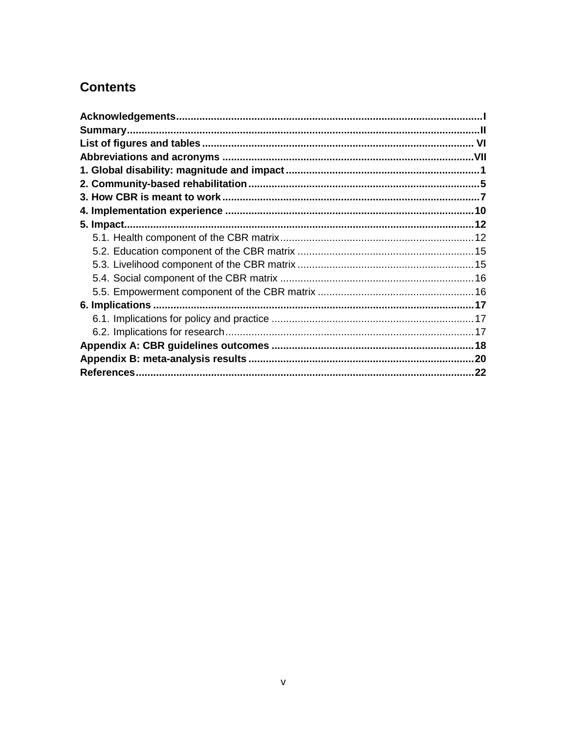# **Contents**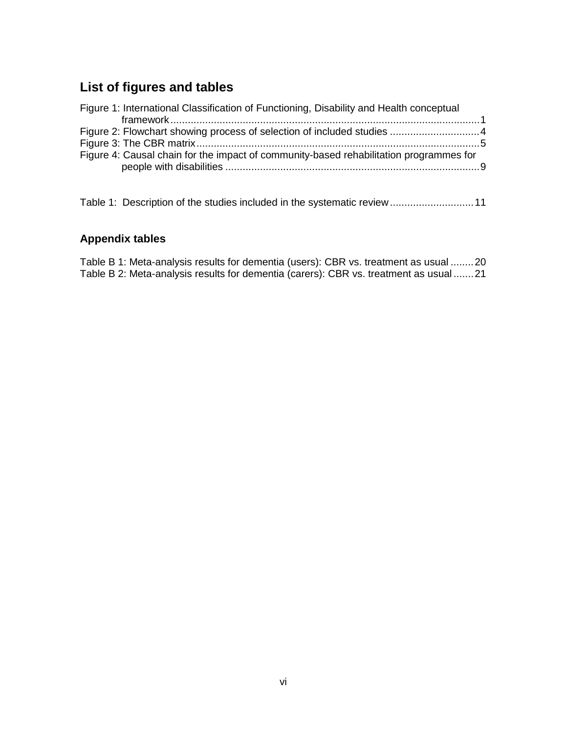# <span id="page-8-0"></span>**List of figures and tables**

| Figure 1: International Classification of Functioning, Disability and Health conceptual |  |
|-----------------------------------------------------------------------------------------|--|
|                                                                                         |  |
|                                                                                         |  |
|                                                                                         |  |
| Figure 4: Causal chain for the impact of community-based rehabilitation programmes for  |  |
|                                                                                         |  |

Table 1: Description of the studies included in the systematic review............................... 11

#### **Appendix tables**

[Table B 1: Meta-analysis results for dementia \(users\): CBR vs. treatment as usual](#page-29-1) ........20 [Table B 2: Meta-analysis results for dementia \(carers\): CBR vs. treatment as usual](#page-29-2) .......21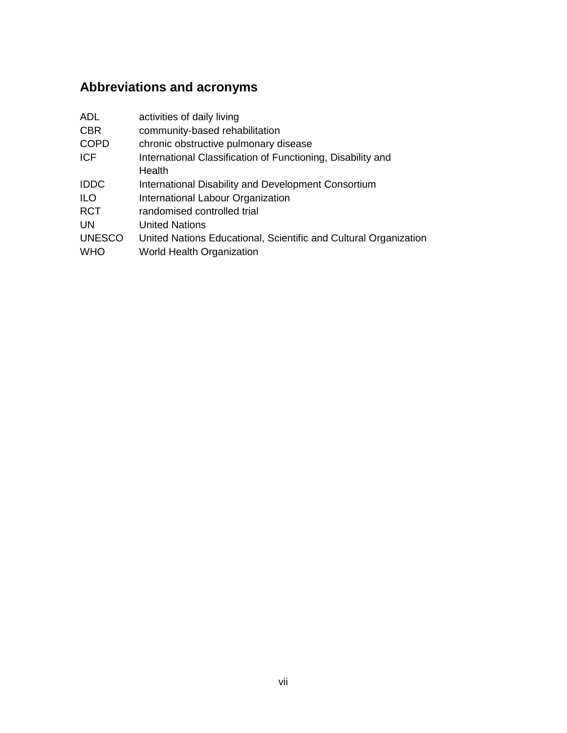# <span id="page-9-0"></span>**Abbreviations and acronyms**

| <b>ADL</b>    | activities of daily living                                       |
|---------------|------------------------------------------------------------------|
| <b>CBR</b>    | community-based rehabilitation                                   |
| <b>COPD</b>   | chronic obstructive pulmonary disease                            |
| <b>ICF</b>    | International Classification of Functioning, Disability and      |
|               | Health                                                           |
| <b>IDDC</b>   | International Disability and Development Consortium              |
| <b>ILO</b>    | International Labour Organization                                |
| <b>RCT</b>    | randomised controlled trial                                      |
| <b>UN</b>     | <b>United Nations</b>                                            |
| <b>UNESCO</b> | United Nations Educational, Scientific and Cultural Organization |
| <b>WHO</b>    | <b>World Health Organization</b>                                 |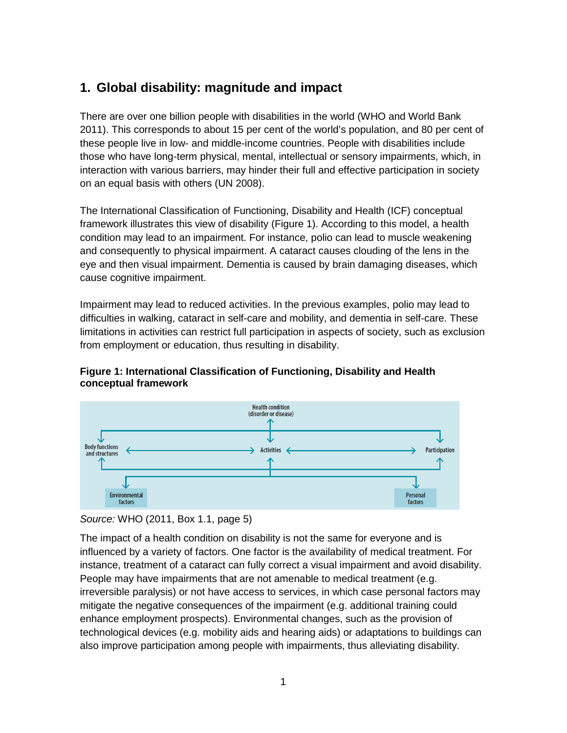# <span id="page-10-0"></span>**1. Global disability: magnitude and impact**

There are over one billion people with disabilities in the world (WHO and World Bank 2011). This corresponds to about 15 per cent of the world's population, and 80 per cent of these people live in low- and middle-income countries. People with disabilities include those who have long-term physical, mental, intellectual or sensory impairments, which, in interaction with various barriers, may hinder their full and effective participation in society on an equal basis with others (UN 2008).

The International Classification of Functioning, Disability and Health (ICF) conceptual framework illustrates this view of disability (Figure 1). According to this model, a health condition may lead to an impairment. For instance, polio can lead to muscle weakening and consequently to physical impairment. A cataract causes clouding of the lens in the eye and then visual impairment. Dementia is caused by brain damaging diseases, which cause cognitive impairment.

Impairment may lead to reduced activities. In the previous examples, polio may lead to difficulties in walking, cataract in self-care and mobility, and dementia in self-care. These limitations in activities can restrict full participation in aspects of society, such as exclusion from employment or education, thus resulting in disability.

#### <span id="page-10-1"></span>**Figure 1: International Classification of Functioning, Disability and Health conceptual framework**



#### *Source:* WHO (2011, Box 1.1, page 5)

The impact of a health condition on disability is not the same for everyone and is influenced by a variety of factors. One factor is the availability of medical treatment. For instance, treatment of a cataract can fully correct a visual impairment and avoid disability. People may have impairments that are not amenable to medical treatment (e.g. irreversible paralysis) or not have access to services, in which case personal factors may mitigate the negative consequences of the impairment (e.g. additional training could enhance employment prospects). Environmental changes, such as the provision of technological devices (e.g. mobility aids and hearing aids) or adaptations to buildings can also improve participation among people with impairments, thus alleviating disability.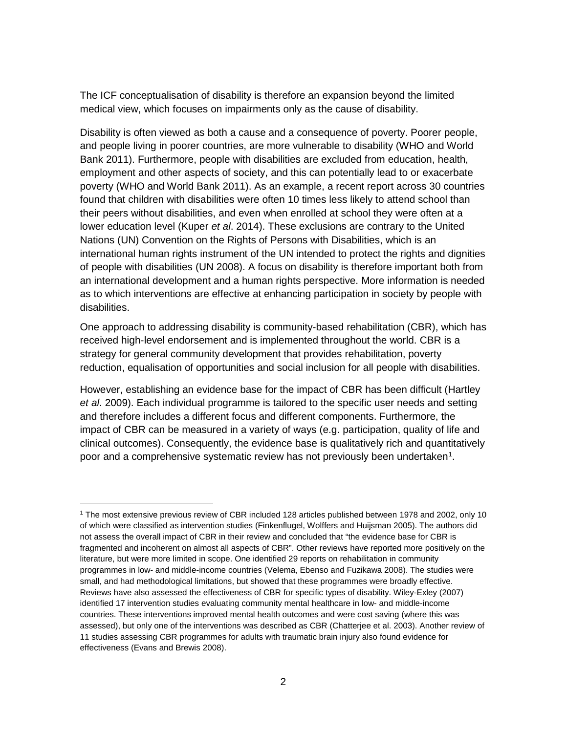The ICF conceptualisation of disability is therefore an expansion beyond the limited medical view, which focuses on impairments only as the cause of disability.

Disability is often viewed as both a cause and a consequence of poverty. Poorer people, and people living in poorer countries, are more vulnerable to disability (WHO and World Bank 2011). Furthermore, people with disabilities are excluded from education, health, employment and other aspects of society, and this can potentially lead to or exacerbate poverty (WHO and World Bank 2011). As an example, a recent report across 30 countries found that children with disabilities were often 10 times less likely to attend school than their peers without disabilities, and even when enrolled at school they were often at a lower education level (Kuper *et al*. 2014). These exclusions are contrary to the United Nations (UN) Convention on the Rights of Persons with Disabilities, which is an international human rights instrument of the UN intended to protect the rights and dignities of people with disabilities (UN 2008). A focus on disability is therefore important both from an international development and a human rights perspective. More information is needed as to which interventions are effective at enhancing participation in society by people with disabilities.

One approach to addressing disability is community-based rehabilitation (CBR), which has received high-level endorsement and is implemented throughout the world. CBR is a strategy for general community development that provides rehabilitation, poverty reduction, equalisation of opportunities and social inclusion for all people with disabilities.

However, establishing an evidence base for the impact of CBR has been difficult (Hartley *et al*. 2009). Each individual programme is tailored to the specific user needs and setting and therefore includes a different focus and different components. Furthermore, the impact of CBR can be measured in a variety of ways (e.g. participation, quality of life and clinical outcomes). Consequently, the evidence base is qualitatively rich and quantitatively poor and a comprehensive systematic review has not previously been undertaken<sup>1</sup>.

 $\overline{a}$ 

<span id="page-11-0"></span><sup>1</sup> The most extensive previous review of CBR included 128 articles published between 1978 and 2002, only 10 of which were classified as intervention studies (Finkenflugel, Wolffers and Huijsman 2005). The authors did not assess the overall impact of CBR in their review and concluded that "the evidence base for CBR is fragmented and incoherent on almost all aspects of CBR". Other reviews have reported more positively on the literature, but were more limited in scope. One identified 29 reports on rehabilitation in community programmes in low- and middle-income countries (Velema, Ebenso and Fuzikawa 2008). The studies were small, and had methodological limitations, but showed that these programmes were broadly effective. Reviews have also assessed the effectiveness of CBR for specific types of disability. Wiley-Exley (2007) identified 17 intervention studies evaluating community mental healthcare in low- and middle-income countries. These interventions improved mental health outcomes and were cost saving (where this was assessed), but only one of the interventions was described as CBR (Chatterjee et al. 2003). Another review of 11 studies assessing CBR programmes for adults with traumatic brain injury also found evidence for effectiveness (Evans and Brewis 2008).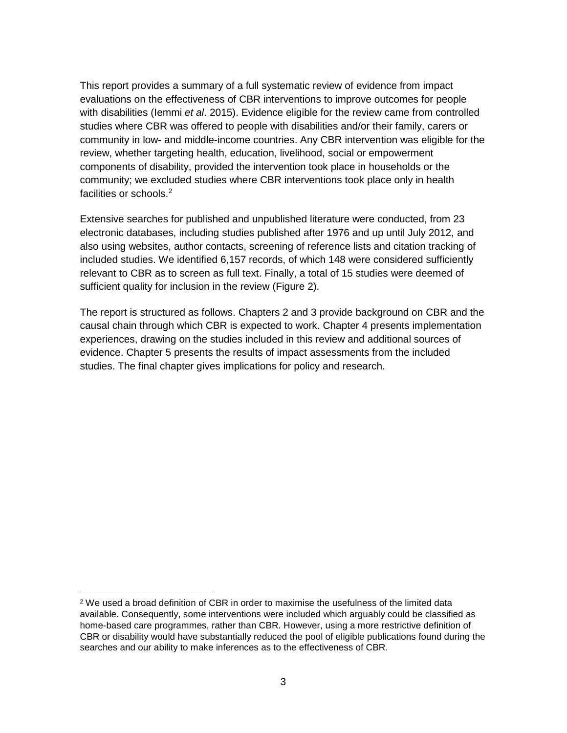This report provides a summary of a full systematic review of evidence from impact evaluations on the effectiveness of CBR interventions to improve outcomes for people with disabilities (Iemmi *et al*. 2015). Evidence eligible for the review came from controlled studies where CBR was offered to people with disabilities and/or their family, carers or community in low- and middle-income countries. Any CBR intervention was eligible for the review, whether targeting health, education, livelihood, social or empowerment components of disability, provided the intervention took place in households or the community; we excluded studies where CBR interventions took place only in health facilities or schools.<sup>[2](#page-12-1)</sup>

Extensive searches for published and unpublished literature were conducted, from 23 electronic databases, including studies published after 1976 and up until July 2012, and also using websites, author contacts, screening of reference lists and citation tracking of included studies. We identified 6,157 records, of which 148 were considered sufficiently relevant to CBR as to screen as full text. Finally, a total of 15 studies were deemed of sufficient quality for inclusion in the review (Figure 2).

<span id="page-12-0"></span>The report is structured as follows. Chapters 2 and 3 provide background on CBR and the causal chain through which CBR is expected to work. Chapter 4 presents implementation experiences, drawing on the studies included in this review and additional sources of evidence. Chapter 5 presents the results of impact assessments from the included studies. The final chapter gives implications for policy and research.

 $\overline{a}$ 

<span id="page-12-1"></span><sup>2</sup> We used a broad definition of CBR in order to maximise the usefulness of the limited data available. Consequently, some interventions were included which arguably could be classified as home-based care programmes, rather than CBR. However, using a more restrictive definition of CBR or disability would have substantially reduced the pool of eligible publications found during the searches and our ability to make inferences as to the effectiveness of CBR.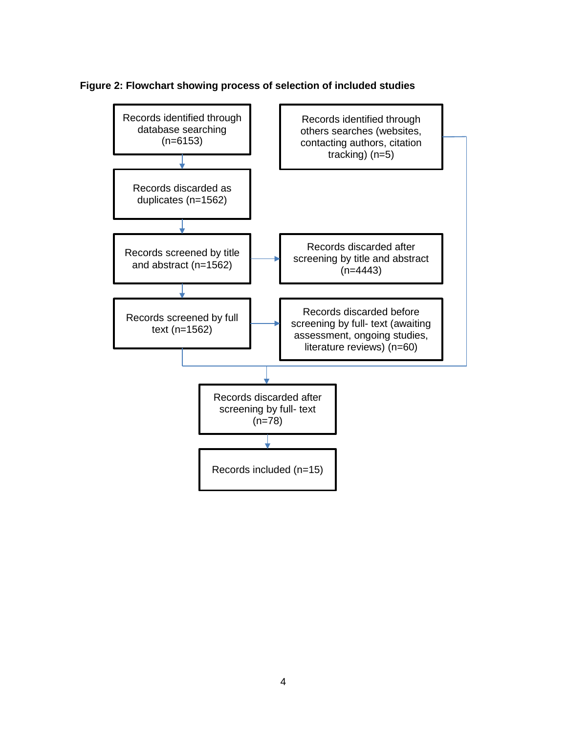

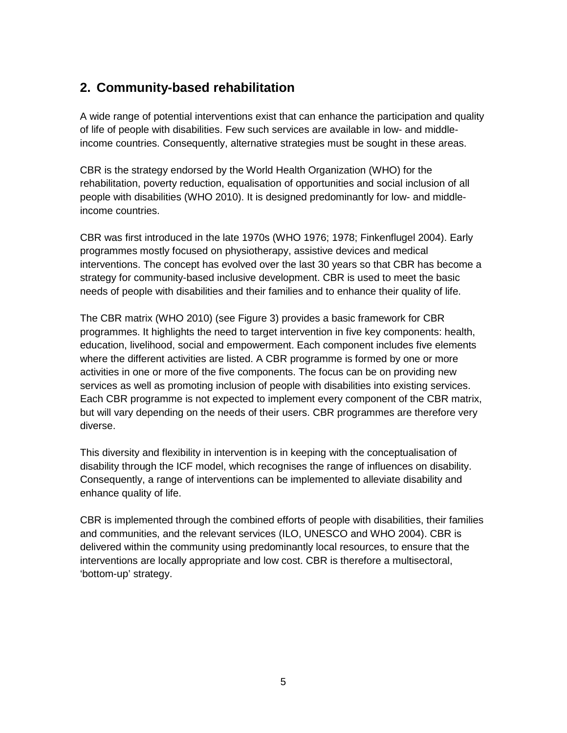# <span id="page-14-0"></span>**2. Community-based rehabilitation**

A wide range of potential interventions exist that can enhance the participation and quality of life of people with disabilities. Few such services are available in low- and middleincome countries. Consequently, alternative strategies must be sought in these areas.

CBR is the strategy endorsed by the World Health Organization (WHO) for the rehabilitation, poverty reduction, equalisation of opportunities and social inclusion of all people with disabilities (WHO 2010). It is designed predominantly for low- and middleincome countries.

CBR was first introduced in the late 1970s (WHO 1976; 1978; Finkenflugel 2004). Early programmes mostly focused on physiotherapy, assistive devices and medical interventions. The concept has evolved over the last 30 years so that CBR has become a strategy for community-based inclusive development. CBR is used to meet the basic needs of people with disabilities and their families and to enhance their quality of life.

The CBR matrix (WHO 2010) (see Figure 3) provides a basic framework for CBR programmes. It highlights the need to target intervention in five key components: health, education, livelihood, social and empowerment. Each component includes five elements where the different activities are listed. A CBR programme is formed by one or more activities in one or more of the five components. The focus can be on providing new services as well as promoting inclusion of people with disabilities into existing services. Each CBR programme is not expected to implement every component of the CBR matrix, but will vary depending on the needs of their users. CBR programmes are therefore very diverse.

This diversity and flexibility in intervention is in keeping with the conceptualisation of disability through the ICF model, which recognises the range of influences on disability. Consequently, a range of interventions can be implemented to alleviate disability and enhance quality of life.

<span id="page-14-1"></span>CBR is implemented through the combined efforts of people with disabilities, their families and communities, and the relevant services (ILO, UNESCO and WHO 2004). CBR is delivered within the community using predominantly local resources, to ensure that the interventions are locally appropriate and low cost. CBR is therefore a multisectoral, 'bottom-up' strategy.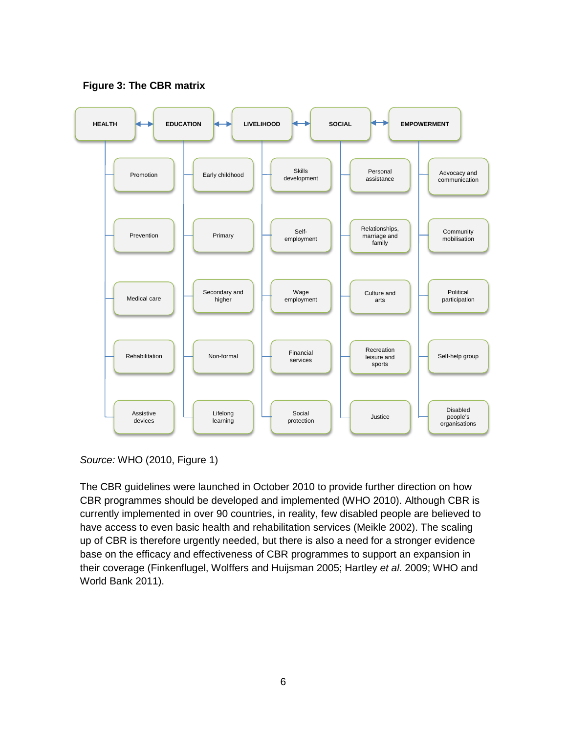

**Figure 3: The CBR matrix**

*Source:* WHO (2010, Figure 1)

The CBR guidelines were launched in October 2010 to provide further direction on how CBR programmes should be developed and implemented (WHO 2010). Although CBR is currently implemented in over 90 countries, in reality, few disabled people are believed to have access to even basic health and rehabilitation services (Meikle 2002). The scaling up of CBR is therefore urgently needed, but there is also a need for a stronger evidence base on the efficacy and effectiveness of CBR programmes to support an expansion in their coverage (Finkenflugel, Wolffers and Huijsman 2005; Hartley *et al*. 2009; WHO and World Bank 2011).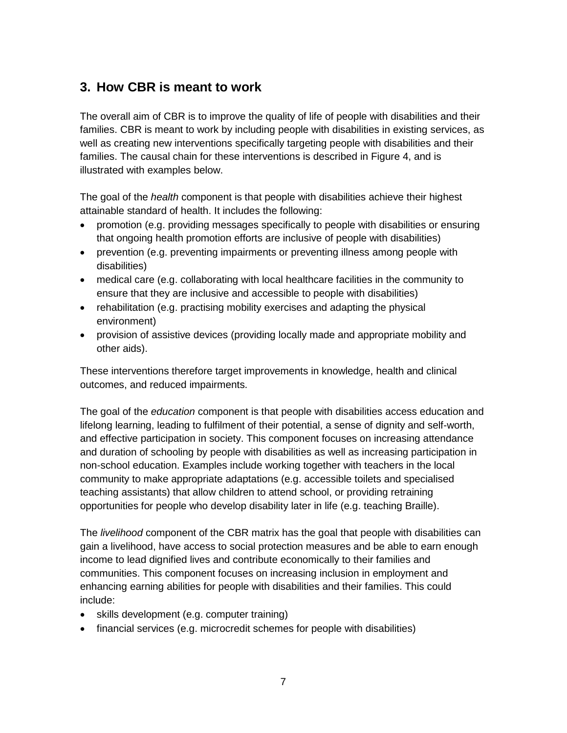# <span id="page-16-0"></span>**3. How CBR is meant to work**

The overall aim of CBR is to improve the quality of life of people with disabilities and their families. CBR is meant to work by including people with disabilities in existing services, as well as creating new interventions specifically targeting people with disabilities and their families. The causal chain for these interventions is described in Figure 4, and is illustrated with examples below.

The goal of the *health* component is that people with disabilities achieve their highest attainable standard of health. It includes the following:

- promotion (e.g. providing messages specifically to people with disabilities or ensuring that ongoing health promotion efforts are inclusive of people with disabilities)
- prevention (e.g. preventing impairments or preventing illness among people with disabilities)
- medical care (e.g. collaborating with local healthcare facilities in the community to ensure that they are inclusive and accessible to people with disabilities)
- rehabilitation (e.g. practising mobility exercises and adapting the physical environment)
- provision of assistive devices (providing locally made and appropriate mobility and other aids).

These interventions therefore target improvements in knowledge, health and clinical outcomes, and reduced impairments.

The goal of the *education* component is that people with disabilities access education and lifelong learning, leading to fulfilment of their potential, a sense of dignity and self-worth, and effective participation in society. This component focuses on increasing attendance and duration of schooling by people with disabilities as well as increasing participation in non-school education. Examples include working together with teachers in the local community to make appropriate adaptations (e.g. accessible toilets and specialised teaching assistants) that allow children to attend school, or providing retraining opportunities for people who develop disability later in life (e.g. teaching Braille).

The *livelihood* component of the CBR matrix has the goal that people with disabilities can gain a livelihood, have access to social protection measures and be able to earn enough income to lead dignified lives and contribute economically to their families and communities. This component focuses on increasing inclusion in employment and enhancing earning abilities for people with disabilities and their families. This could include:

- skills development (e.g. computer training)
- financial services (e.g. microcredit schemes for people with disabilities)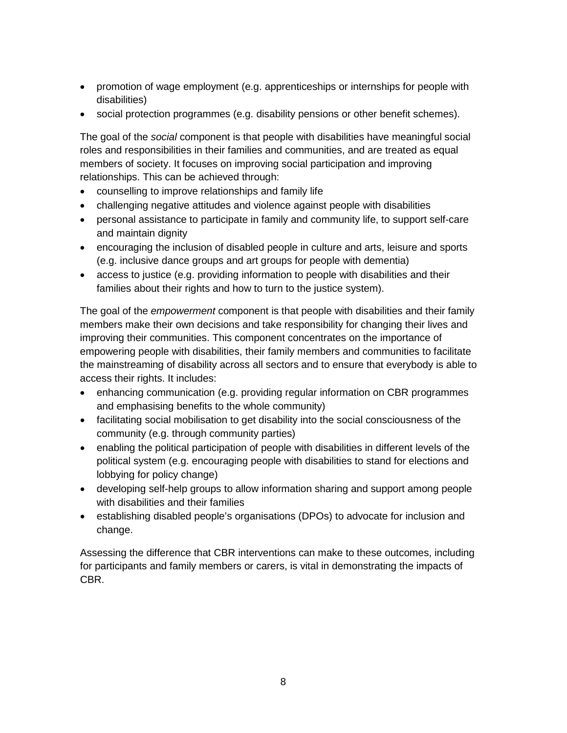- promotion of wage employment (e.g. apprenticeships or internships for people with disabilities)
- social protection programmes (e.g. disability pensions or other benefit schemes).

The goal of the *social* component is that people with disabilities have meaningful social roles and responsibilities in their families and communities, and are treated as equal members of society. It focuses on improving social participation and improving relationships. This can be achieved through:

- counselling to improve relationships and family life
- challenging negative attitudes and violence against people with disabilities
- personal assistance to participate in family and community life, to support self-care and maintain dignity
- encouraging the inclusion of disabled people in culture and arts, leisure and sports (e.g. inclusive dance groups and art groups for people with dementia)
- access to justice (e.g. providing information to people with disabilities and their families about their rights and how to turn to the justice system).

The goal of the *empowerment* component is that people with disabilities and their family members make their own decisions and take responsibility for changing their lives and improving their communities. This component concentrates on the importance of empowering people with disabilities, their family members and communities to facilitate the mainstreaming of disability across all sectors and to ensure that everybody is able to access their rights. It includes:

- enhancing communication (e.g. providing regular information on CBR programmes and emphasising benefits to the whole community)
- facilitating social mobilisation to get disability into the social consciousness of the community (e.g. through community parties)
- enabling the political participation of people with disabilities in different levels of the political system (e.g. encouraging people with disabilities to stand for elections and lobbying for policy change)
- developing self-help groups to allow information sharing and support among people with disabilities and their families
- establishing disabled people's organisations (DPOs) to advocate for inclusion and change.

Assessing the difference that CBR interventions can make to these outcomes, including for participants and family members or carers, is vital in demonstrating the impacts of CBR.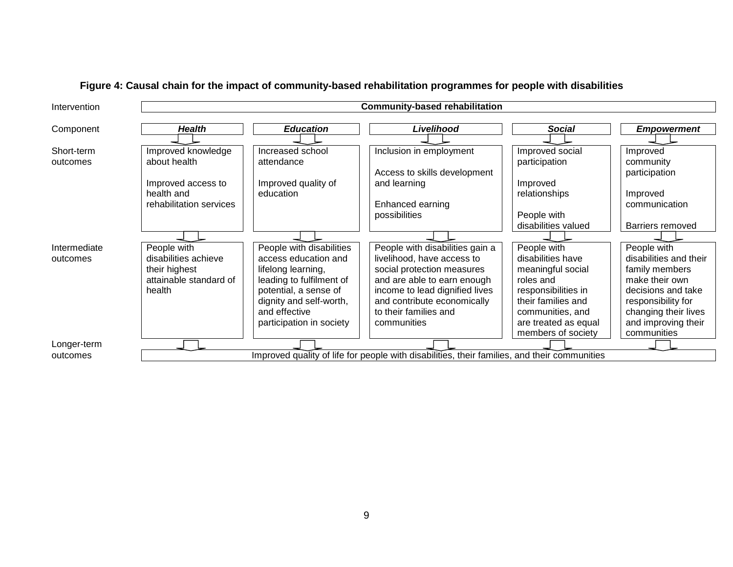<span id="page-18-0"></span>

| Intervention | <b>Community-based rehabilitation</b>                                                        |                          |                                 |                      |                         |  |  |
|--------------|----------------------------------------------------------------------------------------------|--------------------------|---------------------------------|----------------------|-------------------------|--|--|
| Component    | <b>Health</b>                                                                                | <b>Education</b>         | Livelihood                      | Social               | <b>Empowerment</b>      |  |  |
|              |                                                                                              |                          |                                 |                      |                         |  |  |
| Short-term   | Improved knowledge                                                                           | Increased school         | Inclusion in employment         | Improved social      | Improved                |  |  |
| outcomes     | about health                                                                                 | attendance               |                                 | participation        | community               |  |  |
|              |                                                                                              |                          | Access to skills development    |                      | participation           |  |  |
|              | Improved access to                                                                           | Improved quality of      | and learning                    | Improved             |                         |  |  |
|              | health and                                                                                   | education                |                                 | relationships        | Improved                |  |  |
|              | rehabilitation services                                                                      |                          | Enhanced earning                |                      | communication           |  |  |
|              |                                                                                              |                          | possibilities                   | People with          |                         |  |  |
|              |                                                                                              |                          |                                 | disabilities valued  | <b>Barriers removed</b> |  |  |
|              |                                                                                              |                          |                                 |                      |                         |  |  |
| Intermediate | People with                                                                                  | People with disabilities | People with disabilities gain a | People with          | People with             |  |  |
| outcomes     | disabilities achieve                                                                         | access education and     | livelihood, have access to      | disabilities have    | disabilities and their  |  |  |
|              | their highest                                                                                | lifelong learning,       | social protection measures      | meaningful social    | family members          |  |  |
|              | attainable standard of                                                                       | leading to fulfilment of | and are able to earn enough     | roles and            | make their own          |  |  |
|              | health                                                                                       | potential, a sense of    | income to lead dignified lives  | responsibilities in  | decisions and take      |  |  |
|              |                                                                                              | dignity and self-worth,  | and contribute economically     | their families and   | responsibility for      |  |  |
|              |                                                                                              | and effective            | to their families and           | communities, and     | changing their lives    |  |  |
|              |                                                                                              | participation in society | communities                     | are treated as equal | and improving their     |  |  |
|              |                                                                                              |                          |                                 | members of society   | communities             |  |  |
| Longer-term  |                                                                                              |                          |                                 |                      |                         |  |  |
| outcomes     | Improved quality of life for people with disabilities, their families, and their communities |                          |                                 |                      |                         |  |  |

# **Figure 4: Causal chain for the impact of community-based rehabilitation programmes for people with disabilities**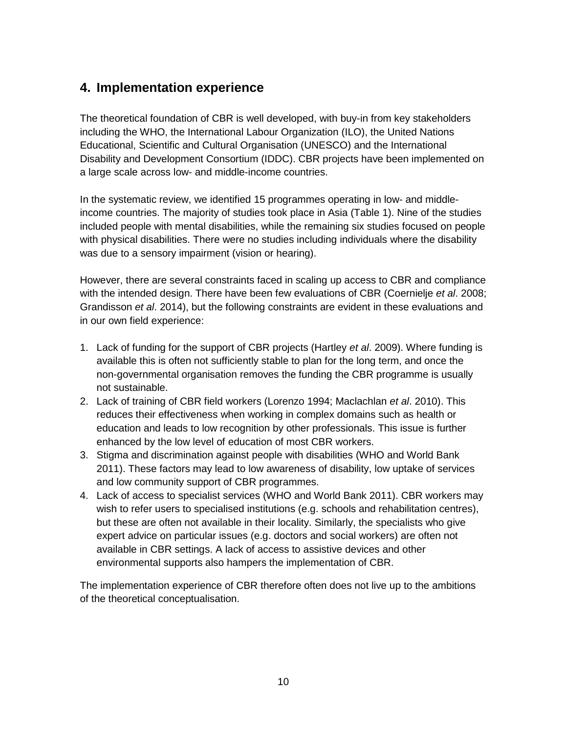# <span id="page-19-0"></span>**4. Implementation experience**

The theoretical foundation of CBR is well developed, with buy-in from key stakeholders including the WHO, the International Labour Organization (ILO), the United Nations Educational, Scientific and Cultural Organisation (UNESCO) and the International Disability and Development Consortium (IDDC). CBR projects have been implemented on a large scale across low- and middle-income countries.

In the systematic review, we identified 15 programmes operating in low- and middleincome countries. The majority of studies took place in Asia (Table 1). Nine of the studies included people with mental disabilities, while the remaining six studies focused on people with physical disabilities. There were no studies including individuals where the disability was due to a sensory impairment (vision or hearing).

However, there are several constraints faced in scaling up access to CBR and compliance with the intended design. There have been few evaluations of CBR (Coernielje *et al*. 2008; Grandisson *et al*. 2014), but the following constraints are evident in these evaluations and in our own field experience:

- 1. Lack of funding for the support of CBR projects (Hartley *et al*. 2009). Where funding is available this is often not sufficiently stable to plan for the long term, and once the non-governmental organisation removes the funding the CBR programme is usually not sustainable.
- 2. Lack of training of CBR field workers (Lorenzo 1994; Maclachlan *et al*. 2010). This reduces their effectiveness when working in complex domains such as health or education and leads to low recognition by other professionals. This issue is further enhanced by the low level of education of most CBR workers.
- 3. Stigma and discrimination against people with disabilities (WHO and World Bank 2011). These factors may lead to low awareness of disability, low uptake of services and low community support of CBR programmes.
- 4. Lack of access to specialist services (WHO and World Bank 2011). CBR workers may wish to refer users to specialised institutions (e.g. schools and rehabilitation centres), but these are often not available in their locality. Similarly, the specialists who give expert advice on particular issues (e.g. doctors and social workers) are often not available in CBR settings. A lack of access to assistive devices and other environmental supports also hampers the implementation of CBR.

The implementation experience of CBR therefore often does not live up to the ambitions of the theoretical conceptualisation.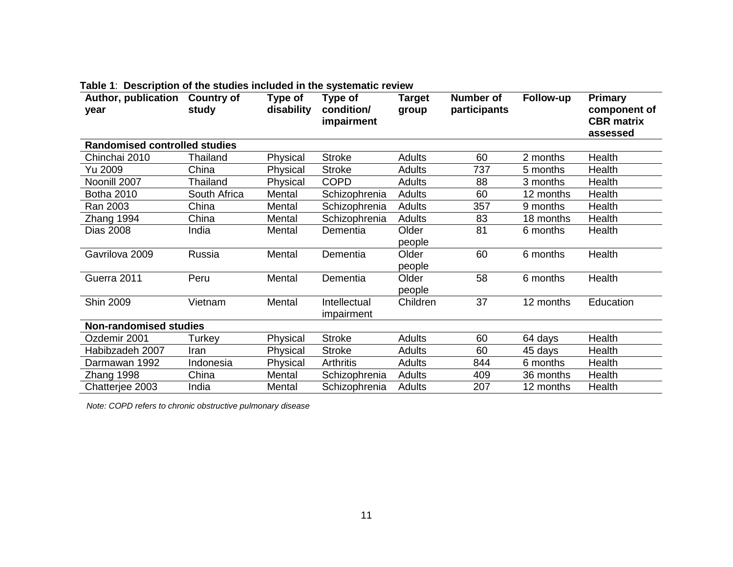| Author, publication<br>year          | <b>Country of</b><br>study | Type of<br>disability | Type of<br>condition/<br>impairment | <b>Target</b><br>group | <b>Number of</b><br>participants | Follow-up | <b>Primary</b><br>component of<br><b>CBR</b> matrix<br>assessed |
|--------------------------------------|----------------------------|-----------------------|-------------------------------------|------------------------|----------------------------------|-----------|-----------------------------------------------------------------|
| <b>Randomised controlled studies</b> |                            |                       |                                     |                        |                                  |           |                                                                 |
| Chinchai 2010                        | <b>Thailand</b>            | Physical              | <b>Stroke</b>                       | <b>Adults</b>          | 60                               | 2 months  | Health                                                          |
| Yu 2009                              | China                      | Physical              | <b>Stroke</b>                       | <b>Adults</b>          | 737                              | 5 months  | Health                                                          |
| Noonill 2007                         | Thailand                   | Physical              | <b>COPD</b>                         | Adults                 | 88                               | 3 months  | Health                                                          |
| <b>Botha 2010</b>                    | South Africa               | Mental                | Schizophrenia                       | Adults                 | 60                               | 12 months | Health                                                          |
| Ran 2003                             | China                      | Mental                | Schizophrenia                       | <b>Adults</b>          | 357                              | 9 months  | Health                                                          |
| Zhang 1994                           | China                      | Mental                | Schizophrenia                       | <b>Adults</b>          | 83                               | 18 months | Health                                                          |
| <b>Dias 2008</b>                     | India                      | Mental                | Dementia                            | Older                  | 81                               | 6 months  | Health                                                          |
|                                      |                            |                       |                                     | people                 |                                  |           |                                                                 |
| Gavrilova 2009                       | Russia                     | Mental                | Dementia                            | Older                  | 60                               | 6 months  | Health                                                          |
|                                      |                            |                       |                                     | people                 |                                  |           |                                                                 |
| Guerra 2011                          | Peru                       | Mental                | Dementia                            | Older                  | 58                               | 6 months  | Health                                                          |
|                                      |                            |                       |                                     | people                 |                                  |           |                                                                 |
| <b>Shin 2009</b>                     | Vietnam                    | Mental                | Intellectual                        | Children               | 37                               | 12 months | Education                                                       |
|                                      |                            |                       | impairment                          |                        |                                  |           |                                                                 |
| <b>Non-randomised studies</b>        |                            |                       |                                     |                        |                                  |           |                                                                 |
| Ozdemir 2001                         | Turkey                     | Physical              | <b>Stroke</b>                       | <b>Adults</b>          | 60                               | 64 days   | Health                                                          |
| Habibzadeh 2007                      | Iran                       | Physical              | <b>Stroke</b>                       | <b>Adults</b>          | 60                               | 45 days   | Health                                                          |
| Darmawan 1992                        | Indonesia                  | Physical              | <b>Arthritis</b>                    | <b>Adults</b>          | 844                              | 6 months  | Health                                                          |
| Zhang 1998                           | China                      | Mental                | Schizophrenia                       | <b>Adults</b>          | 409                              | 36 months | Health                                                          |
| Chatterjee 2003                      | India                      | Mental                | Schizophrenia                       | <b>Adults</b>          | 207                              | 12 months | Health                                                          |

#### **Table 1**: **Description of the studies included in the systematic review**

<span id="page-20-0"></span>*Note: COPD refers to chronic obstructive pulmonary disease*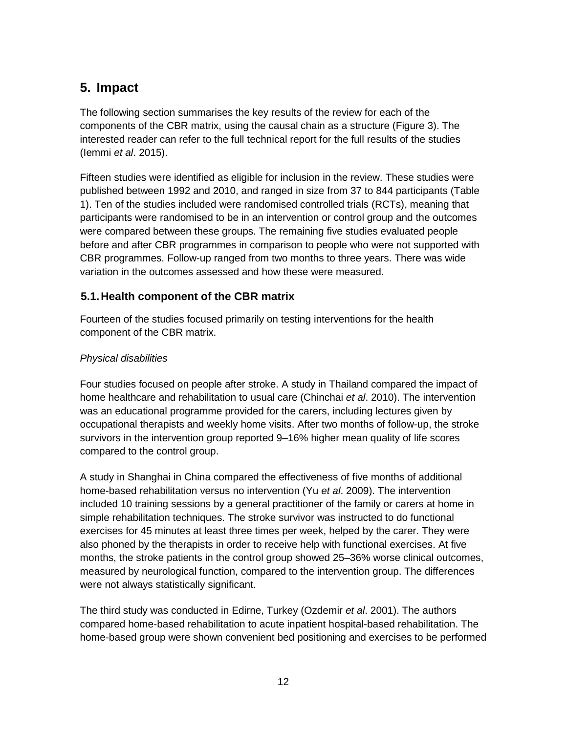# <span id="page-21-0"></span>**5. Impact**

The following section summarises the key results of the review for each of the components of the CBR matrix, using the causal chain as a structure (Figure 3). The interested reader can refer to the full technical report for the full results of the studies (Iemmi *et al*. 2015).

Fifteen studies were identified as eligible for inclusion in the review. These studies were published between 1992 and 2010, and ranged in size from 37 to 844 participants (Table 1). Ten of the studies included were randomised controlled trials (RCTs), meaning that participants were randomised to be in an intervention or control group and the outcomes were compared between these groups. The remaining five studies evaluated people before and after CBR programmes in comparison to people who were not supported with CBR programmes. Follow-up ranged from two months to three years. There was wide variation in the outcomes assessed and how these were measured.

### <span id="page-21-1"></span>**5.1.Health component of the CBR matrix**

Fourteen of the studies focused primarily on testing interventions for the health component of the CBR matrix.

#### *Physical disabilities*

Four studies focused on people after stroke. A study in Thailand compared the impact of home healthcare and rehabilitation to usual care (Chinchai *et al*. 2010). The intervention was an educational programme provided for the carers, including lectures given by occupational therapists and weekly home visits. After two months of follow-up, the stroke survivors in the intervention group reported 9–16% higher mean quality of life scores compared to the control group.

A study in Shanghai in China compared the effectiveness of five months of additional home-based rehabilitation versus no intervention (Yu *et al*. 2009). The intervention included 10 training sessions by a general practitioner of the family or carers at home in simple rehabilitation techniques. The stroke survivor was instructed to do functional exercises for 45 minutes at least three times per week, helped by the carer. They were also phoned by the therapists in order to receive help with functional exercises. At five months, the stroke patients in the control group showed 25–36% worse clinical outcomes, measured by neurological function, compared to the intervention group. The differences were not always statistically significant.

The third study was conducted in Edirne, Turkey (Ozdemir *et al*. 2001). The authors compared home-based rehabilitation to acute inpatient hospital-based rehabilitation. The home-based group were shown convenient bed positioning and exercises to be performed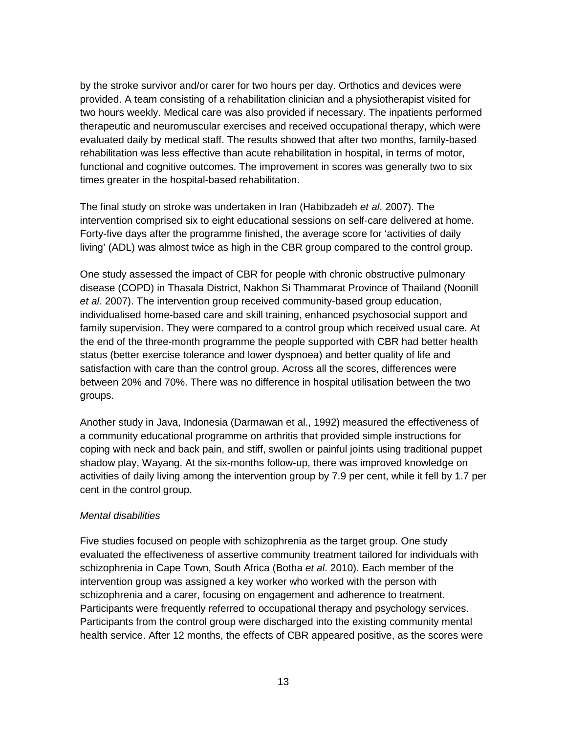by the stroke survivor and/or carer for two hours per day. Orthotics and devices were provided. A team consisting of a rehabilitation clinician and a physiotherapist visited for two hours weekly. Medical care was also provided if necessary. The inpatients performed therapeutic and neuromuscular exercises and received occupational therapy, which were evaluated daily by medical staff. The results showed that after two months, family-based rehabilitation was less effective than acute rehabilitation in hospital, in terms of motor, functional and cognitive outcomes. The improvement in scores was generally two to six times greater in the hospital-based rehabilitation.

The final study on stroke was undertaken in Iran (Habibzadeh *et al*. 2007). The intervention comprised six to eight educational sessions on self-care delivered at home. Forty-five days after the programme finished, the average score for 'activities of daily living' (ADL) was almost twice as high in the CBR group compared to the control group.

One study assessed the impact of CBR for people with chronic obstructive pulmonary disease (COPD) in Thasala District, Nakhon Si Thammarat Province of Thailand (Noonill *et al*. 2007). The intervention group received community-based group education, individualised home-based care and skill training, enhanced psychosocial support and family supervision. They were compared to a control group which received usual care. At the end of the three-month programme the people supported with CBR had better health status (better exercise tolerance and lower dyspnoea) and better quality of life and satisfaction with care than the control group. Across all the scores, differences were between 20% and 70%. There was no difference in hospital utilisation between the two groups.

Another study in Java, Indonesia (Darmawan et al., 1992) measured the effectiveness of a community educational programme on arthritis that provided simple instructions for coping with neck and back pain, and stiff, swollen or painful joints using traditional puppet shadow play, Wayang. At the six-months follow-up, there was improved knowledge on activities of daily living among the intervention group by 7.9 per cent, while it fell by 1.7 per cent in the control group.

#### *Mental disabilities*

Five studies focused on people with schizophrenia as the target group. One study evaluated the effectiveness of assertive community treatment tailored for individuals with schizophrenia in Cape Town, South Africa (Botha *et al*. 2010). Each member of the intervention group was assigned a key worker who worked with the person with schizophrenia and a carer, focusing on engagement and adherence to treatment. Participants were frequently referred to occupational therapy and psychology services. Participants from the control group were discharged into the existing community mental health service. After 12 months, the effects of CBR appeared positive, as the scores were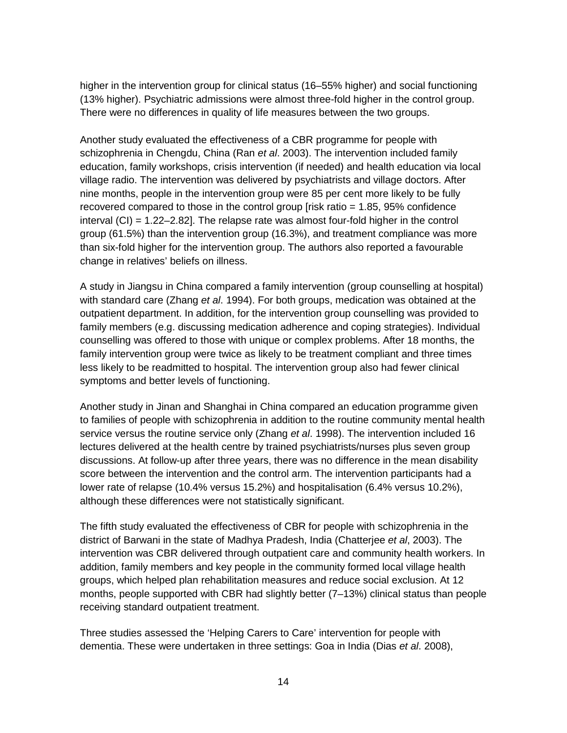higher in the intervention group for clinical status (16–55% higher) and social functioning (13% higher). Psychiatric admissions were almost three-fold higher in the control group. There were no differences in quality of life measures between the two groups.

Another study evaluated the effectiveness of a CBR programme for people with schizophrenia in Chengdu, China (Ran *et al*. 2003). The intervention included family education, family workshops, crisis intervention (if needed) and health education via local village radio. The intervention was delivered by psychiatrists and village doctors. After nine months, people in the intervention group were 85 per cent more likely to be fully recovered compared to those in the control group [risk ratio = 1.85, 95% confidence interval (CI) = 1.22–2.82]. The relapse rate was almost four-fold higher in the control group (61.5%) than the intervention group (16.3%), and treatment compliance was more than six-fold higher for the intervention group. The authors also reported a favourable change in relatives' beliefs on illness.

A study in Jiangsu in China compared a family intervention (group counselling at hospital) with standard care (Zhang *et al*. 1994). For both groups, medication was obtained at the outpatient department. In addition, for the intervention group counselling was provided to family members (e.g. discussing medication adherence and coping strategies). Individual counselling was offered to those with unique or complex problems. After 18 months, the family intervention group were twice as likely to be treatment compliant and three times less likely to be readmitted to hospital. The intervention group also had fewer clinical symptoms and better levels of functioning.

Another study in Jinan and Shanghai in China compared an education programme given to families of people with schizophrenia in addition to the routine community mental health service versus the routine service only (Zhang *et al*. 1998). The intervention included 16 lectures delivered at the health centre by trained psychiatrists/nurses plus seven group discussions. At follow-up after three years, there was no difference in the mean disability score between the intervention and the control arm. The intervention participants had a lower rate of relapse (10.4% versus 15.2%) and hospitalisation (6.4% versus 10.2%), although these differences were not statistically significant.

The fifth study evaluated the effectiveness of CBR for people with schizophrenia in the district of Barwani in the state of Madhya Pradesh, India (Chatterjee *et al*, 2003). The intervention was CBR delivered through outpatient care and community health workers. In addition, family members and key people in the community formed local village health groups, which helped plan rehabilitation measures and reduce social exclusion. At 12 months, people supported with CBR had slightly better (7–13%) clinical status than people receiving standard outpatient treatment.

Three studies assessed the 'Helping Carers to Care' intervention for people with dementia. These were undertaken in three settings: Goa in India (Dias *et al*. 2008),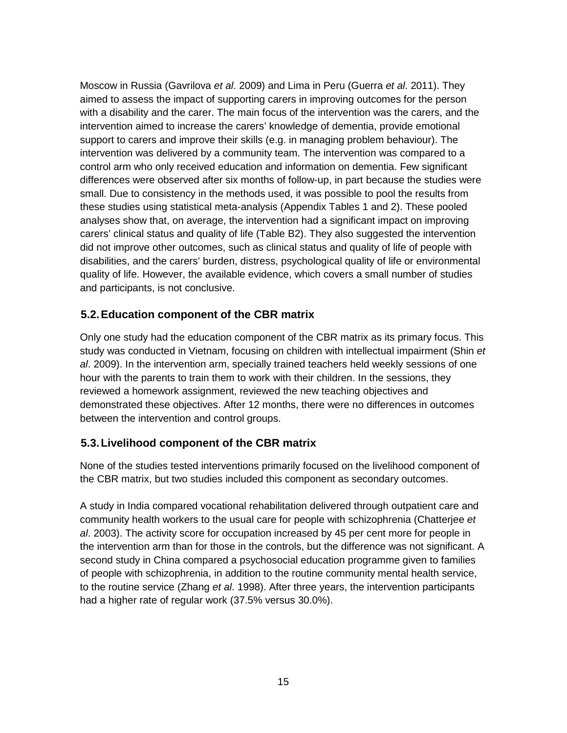Moscow in Russia (Gavrilova *et al*. 2009) and Lima in Peru (Guerra *et al*. 2011). They aimed to assess the impact of supporting carers in improving outcomes for the person with a disability and the carer. The main focus of the intervention was the carers, and the intervention aimed to increase the carers' knowledge of dementia, provide emotional support to carers and improve their skills (e.g. in managing problem behaviour). The intervention was delivered by a community team. The intervention was compared to a control arm who only received education and information on dementia. Few significant differences were observed after six months of follow-up, in part because the studies were small. Due to consistency in the methods used, it was possible to pool the results from these studies using statistical meta-analysis (Appendix Tables 1 and 2). These pooled analyses show that, on average, the intervention had a significant impact on improving carers' clinical status and quality of life (Table B2). They also suggested the intervention did not improve other outcomes, such as clinical status and quality of life of people with disabilities, and the carers' burden, distress, psychological quality of life or environmental quality of life. However, the available evidence, which covers a small number of studies and participants, is not conclusive.

#### <span id="page-24-0"></span>**5.2.Education component of the CBR matrix**

Only one study had the education component of the CBR matrix as its primary focus. This study was conducted in Vietnam, focusing on children with intellectual impairment (Shin *et al*. 2009). In the intervention arm, specially trained teachers held weekly sessions of one hour with the parents to train them to work with their children. In the sessions, they reviewed a homework assignment, reviewed the new teaching objectives and demonstrated these objectives. After 12 months, there were no differences in outcomes between the intervention and control groups.

### <span id="page-24-1"></span>**5.3.Livelihood component of the CBR matrix**

None of the studies tested interventions primarily focused on the livelihood component of the CBR matrix, but two studies included this component as secondary outcomes.

A study in India compared vocational rehabilitation delivered through outpatient care and community health workers to the usual care for people with schizophrenia (Chatterjee *et al*. 2003). The activity score for occupation increased by 45 per cent more for people in the intervention arm than for those in the controls, but the difference was not significant. A second study in China compared a psychosocial education programme given to families of people with schizophrenia, in addition to the routine community mental health service, to the routine service (Zhang *et al*. 1998). After three years, the intervention participants had a higher rate of regular work (37.5% versus 30.0%).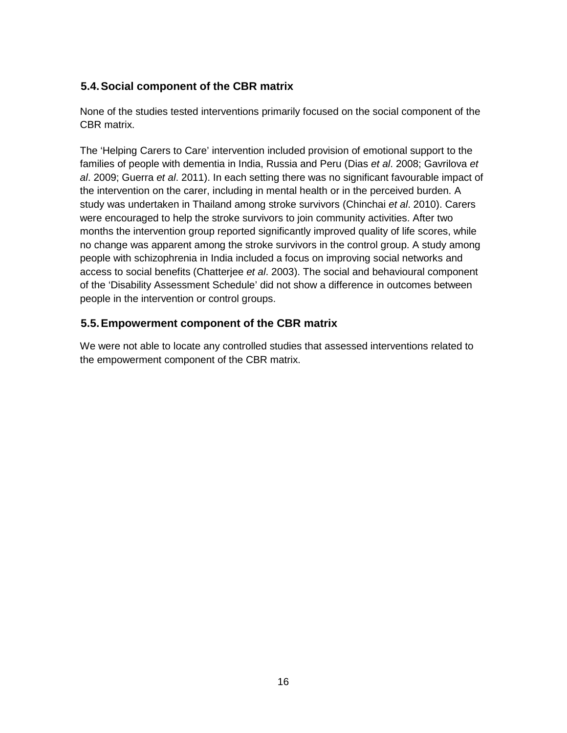### <span id="page-25-0"></span>**5.4.Social component of the CBR matrix**

None of the studies tested interventions primarily focused on the social component of the CBR matrix.

The 'Helping Carers to Care' intervention included provision of emotional support to the families of people with dementia in India, Russia and Peru (Dias *et al*. 2008; Gavrilova *et al*. 2009; Guerra *et al*. 2011). In each setting there was no significant favourable impact of the intervention on the carer, including in mental health or in the perceived burden. A study was undertaken in Thailand among stroke survivors (Chinchai *et al*. 2010). Carers were encouraged to help the stroke survivors to join community activities. After two months the intervention group reported significantly improved quality of life scores, while no change was apparent among the stroke survivors in the control group. A study among people with schizophrenia in India included a focus on improving social networks and access to social benefits (Chatterjee *et al*. 2003). The social and behavioural component of the 'Disability Assessment Schedule' did not show a difference in outcomes between people in the intervention or control groups.

### <span id="page-25-1"></span>**5.5.Empowerment component of the CBR matrix**

We were not able to locate any controlled studies that assessed interventions related to the empowerment component of the CBR matrix.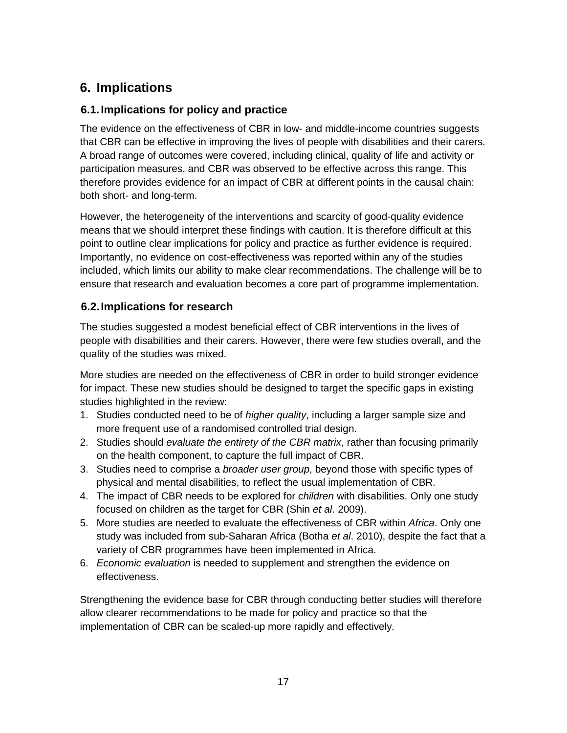# <span id="page-26-0"></span>**6. Implications**

### <span id="page-26-1"></span>**6.1.Implications for policy and practice**

The evidence on the effectiveness of CBR in low- and middle-income countries suggests that CBR can be effective in improving the lives of people with disabilities and their carers. A broad range of outcomes were covered, including clinical, quality of life and activity or participation measures, and CBR was observed to be effective across this range. This therefore provides evidence for an impact of CBR at different points in the causal chain: both short- and long-term.

However, the heterogeneity of the interventions and scarcity of good-quality evidence means that we should interpret these findings with caution. It is therefore difficult at this point to outline clear implications for policy and practice as further evidence is required. Importantly, no evidence on cost-effectiveness was reported within any of the studies included, which limits our ability to make clear recommendations. The challenge will be to ensure that research and evaluation becomes a core part of programme implementation.

### <span id="page-26-2"></span>**6.2.Implications for research**

The studies suggested a modest beneficial effect of CBR interventions in the lives of people with disabilities and their carers. However, there were few studies overall, and the quality of the studies was mixed.

More studies are needed on the effectiveness of CBR in order to build stronger evidence for impact. These new studies should be designed to target the specific gaps in existing studies highlighted in the review:

- 1. Studies conducted need to be of *higher quality*, including a larger sample size and more frequent use of a randomised controlled trial design.
- 2. Studies should *evaluate the entirety of the CBR matrix*, rather than focusing primarily on the health component, to capture the full impact of CBR.
- 3. Studies need to comprise a *broader user group*, beyond those with specific types of physical and mental disabilities, to reflect the usual implementation of CBR.
- 4. The impact of CBR needs to be explored for *children* with disabilities. Only one study focused on children as the target for CBR (Shin *et al*. 2009).
- 5. More studies are needed to evaluate the effectiveness of CBR within *Africa*. Only one study was included from sub-Saharan Africa (Botha *et al*. 2010), despite the fact that a variety of CBR programmes have been implemented in Africa.
- 6. *Economic evaluation* is needed to supplement and strengthen the evidence on effectiveness.

Strengthening the evidence base for CBR through conducting better studies will therefore allow clearer recommendations to be made for policy and practice so that the implementation of CBR can be scaled-up more rapidly and effectively.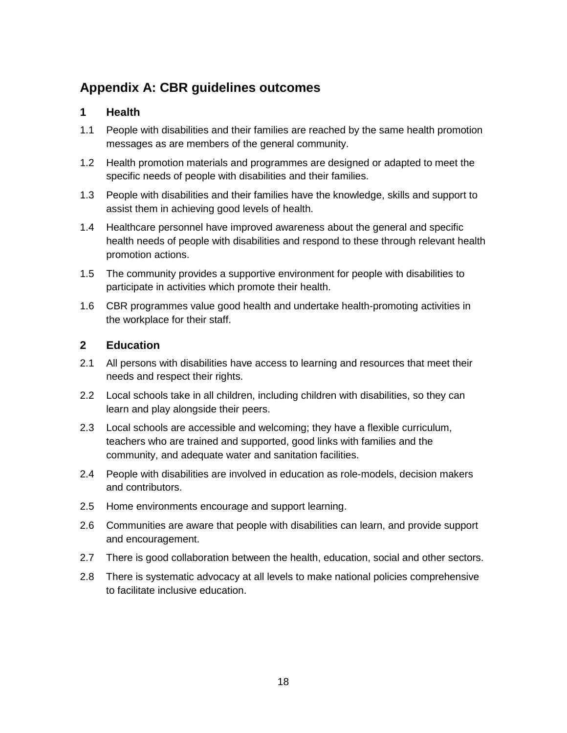# <span id="page-27-0"></span>**Appendix A: CBR guidelines outcomes**

#### **1 Health**

- 1.1 People with disabilities and their families are reached by the same health promotion messages as are members of the general community.
- 1.2 Health promotion materials and programmes are designed or adapted to meet the specific needs of people with disabilities and their families.
- 1.3 People with disabilities and their families have the knowledge, skills and support to assist them in achieving good levels of health.
- 1.4 Healthcare personnel have improved awareness about the general and specific health needs of people with disabilities and respond to these through relevant health promotion actions.
- 1.5 The community provides a supportive environment for people with disabilities to participate in activities which promote their health.
- 1.6 CBR programmes value good health and undertake health-promoting activities in the workplace for their staff.

#### **2 Education**

- 2.1 All persons with disabilities have access to learning and resources that meet their needs and respect their rights.
- 2.2 Local schools take in all children, including children with disabilities, so they can learn and play alongside their peers.
- 2.3 Local schools are accessible and welcoming; they have a flexible curriculum, teachers who are trained and supported, good links with families and the community, and adequate water and sanitation facilities.
- 2.4 People with disabilities are involved in education as role-models, decision makers and contributors.
- 2.5 Home environments encourage and support learning.
- 2.6 Communities are aware that people with disabilities can learn, and provide support and encouragement.
- 2.7 There is good collaboration between the health, education, social and other sectors.
- 2.8 There is systematic advocacy at all levels to make national policies comprehensive to facilitate inclusive education.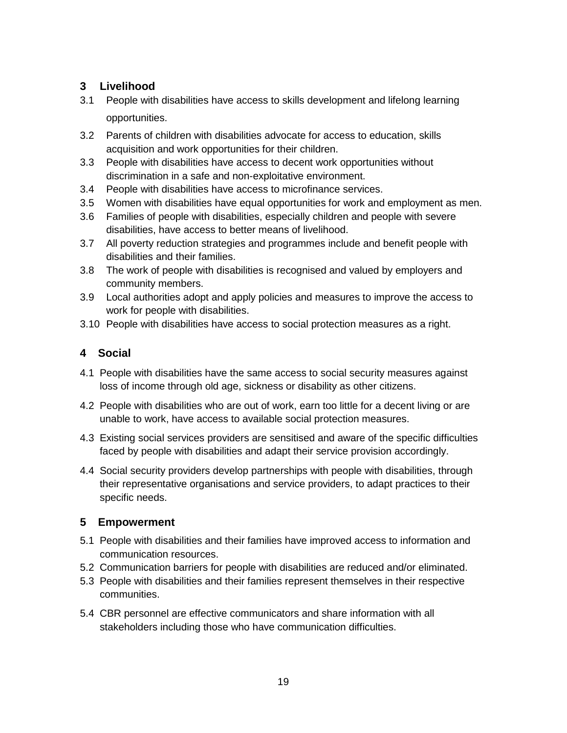### **3 Livelihood**

- 3.1 People with disabilities have access to skills development and lifelong learning opportunities.
- 3.2 Parents of children with disabilities advocate for access to education, skills acquisition and work opportunities for their children.
- 3.3 People with disabilities have access to decent work opportunities without discrimination in a safe and non-exploitative environment.
- 3.4 People with disabilities have access to microfinance services.
- 3.5 Women with disabilities have equal opportunities for work and employment as men.
- 3.6 Families of people with disabilities, especially children and people with severe disabilities, have access to better means of livelihood.
- 3.7 All poverty reduction strategies and programmes include and benefit people with disabilities and their families.
- 3.8 The work of people with disabilities is recognised and valued by employers and community members.
- 3.9 Local authorities adopt and apply policies and measures to improve the access to work for people with disabilities.
- 3.10 People with disabilities have access to social protection measures as a right.

### **4 Social**

- 4.1 People with disabilities have the same access to social security measures against loss of income through old age, sickness or disability as other citizens.
- 4.2 People with disabilities who are out of work, earn too little for a decent living or are unable to work, have access to available social protection measures.
- 4.3 Existing social services providers are sensitised and aware of the specific difficulties faced by people with disabilities and adapt their service provision accordingly.
- 4.4 Social security providers develop partnerships with people with disabilities, through their representative organisations and service providers, to adapt practices to their specific needs.

### **5 Empowerment**

- 5.1 People with disabilities and their families have improved access to information and communication resources.
- 5.2 Communication barriers for people with disabilities are reduced and/or eliminated.
- 5.3 People with disabilities and their families represent themselves in their respective communities.
- 5.4 CBR personnel are effective communicators and share information with all stakeholders including those who have communication difficulties.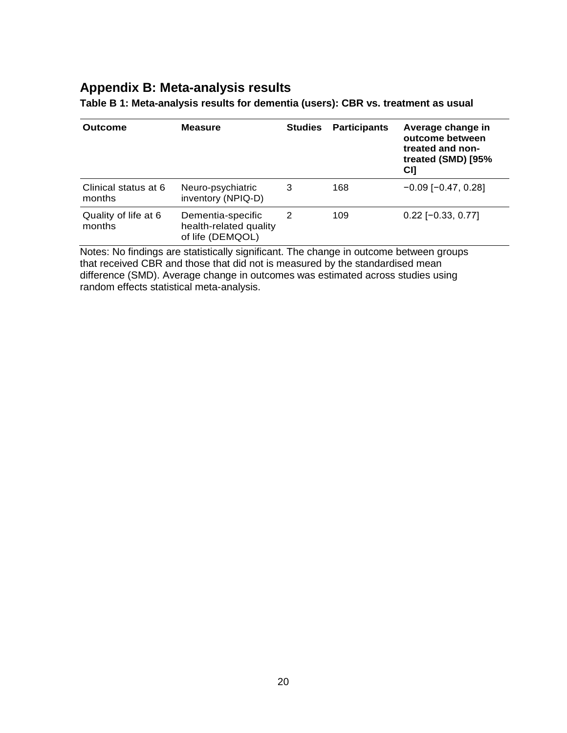### <span id="page-29-0"></span>**Appendix B: Meta-analysis results**

| <b>Outcome</b>                 | <b>Measure</b>                                                  | <b>Studies</b> | <b>Participants</b> | Average change in<br>outcome between<br>treated and non-<br>treated (SMD) [95%<br>C <sub>I</sub> |
|--------------------------------|-----------------------------------------------------------------|----------------|---------------------|--------------------------------------------------------------------------------------------------|
| Clinical status at 6<br>months | Neuro-psychiatric<br>inventory (NPIQ-D)                         | 3              | 168                 | $-0.09$ [ $-0.47, 0.28$ ]                                                                        |
| Quality of life at 6<br>months | Dementia-specific<br>health-related quality<br>of life (DEMQOL) | 2              | 109                 | $0.22$ [-0.33, 0.77]                                                                             |

<span id="page-29-1"></span>**Table B 1: Meta-analysis results for dementia (users): CBR vs. treatment as usual**

<span id="page-29-2"></span>Notes: No findings are statistically significant. The change in outcome between groups that received CBR and those that did not is measured by the standardised mean difference (SMD). Average change in outcomes was estimated across studies using random effects statistical meta-analysis.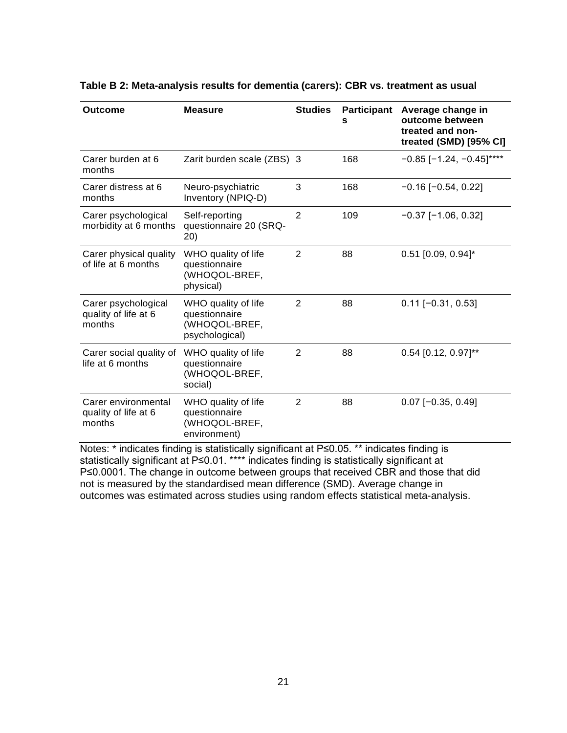| <b>Outcome</b>                                        | <b>Measure</b>                                                          | <b>Studies</b> | <b>Participant</b><br>s | Average change in<br>outcome between<br>treated and non-<br>treated (SMD) [95% CI] |
|-------------------------------------------------------|-------------------------------------------------------------------------|----------------|-------------------------|------------------------------------------------------------------------------------|
| Carer burden at 6<br>months                           | Zarit burden scale (ZBS) 3                                              |                | 168                     | $-0.85$ [-1.24, -0.45]****                                                         |
| Carer distress at 6<br>months                         | Neuro-psychiatric<br>Inventory (NPIQ-D)                                 | 3              | 168                     | $-0.16$ [ $-0.54$ , 0.22]                                                          |
| Carer psychological<br>morbidity at 6 months          | Self-reporting<br>questionnaire 20 (SRQ-<br>20)                         | $\overline{2}$ | 109                     | $-0.37$ [ $-1.06$ , 0.32]                                                          |
| Carer physical quality<br>of life at 6 months         | WHO quality of life<br>questionnaire<br>(WHOQOL-BREF,<br>physical)      | $\overline{2}$ | 88                      | $0.51$ [0.09, 0.94]*                                                               |
| Carer psychological<br>quality of life at 6<br>months | WHO quality of life<br>questionnaire<br>(WHOQOL-BREF,<br>psychological) | $\overline{2}$ | 88                      | $0.11$ [-0.31, 0.53]                                                               |
| Carer social quality of<br>life at 6 months           | WHO quality of life<br>questionnaire<br>(WHOQOL-BREF,<br>social)        | $\overline{2}$ | 88                      | $0.54$ [0.12, 0.97]**                                                              |
| Carer environmental<br>quality of life at 6<br>months | WHO quality of life<br>questionnaire<br>(WHOQOL-BREF,<br>environment)   | $\overline{2}$ | 88                      | $0.07$ [-0.35, 0.49]                                                               |

#### **Table B 2: Meta-analysis results for dementia (carers): CBR vs. treatment as usual**

Notes: \* indicates finding is statistically significant at P≤0.05. \*\* indicates finding is statistically significant at P≤0.01. \*\*\*\* indicates finding is statistically significant at P≤0.0001. The change in outcome between groups that received CBR and those that did not is measured by the standardised mean difference (SMD). Average change in outcomes was estimated across studies using random effects statistical meta-analysis.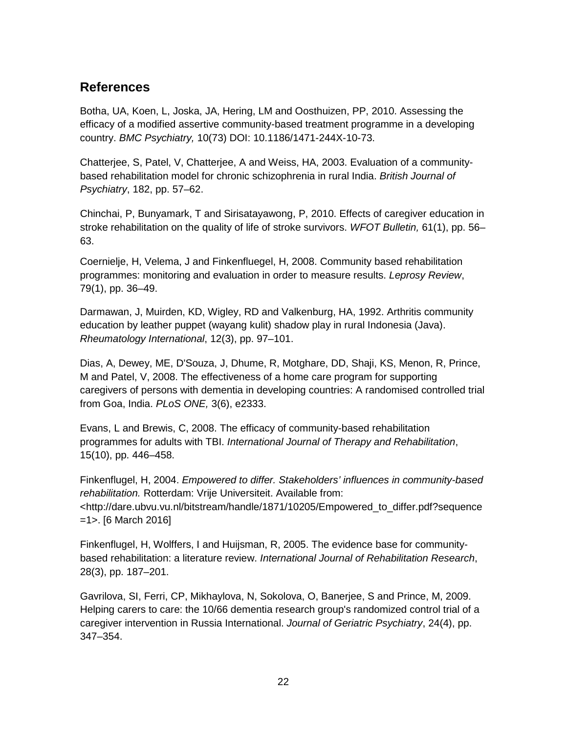## <span id="page-31-0"></span>**References**

Botha, UA, Koen, L, Joska, JA, Hering, LM and Oosthuizen, PP, 2010. Assessing the efficacy of a modified assertive community-based treatment programme in a developing country. *BMC Psychiatry,* 10(73) DOI: 10.1186/1471-244X-10-73.

Chatterjee, S, Patel, V, Chatterjee, A and Weiss, HA, 2003. Evaluation of a communitybased rehabilitation model for chronic schizophrenia in rural India. *British Journal of Psychiatry*, 182, pp. 57–62.

Chinchai, P, Bunyamark, T and Sirisatayawong, P, 2010. Effects of caregiver education in stroke rehabilitation on the quality of life of stroke survivors. *WFOT Bulletin,* 61(1), pp. 56– 63.

Coernielje, H, Velema, J and Finkenfluegel, H, 2008. Community based rehabilitation programmes: monitoring and evaluation in order to measure results. *Leprosy Review*, 79(1), pp. 36–49.

Darmawan, J, Muirden, KD, Wigley, RD and Valkenburg, HA, 1992. Arthritis community education by leather puppet (wayang kulit) shadow play in rural Indonesia (Java). *Rheumatology International*, 12(3), pp. 97–101.

Dias, A, Dewey, ME, D'Souza, J, Dhume, R, Motghare, DD, Shaji, KS, Menon, R, Prince, M and Patel, V, 2008. The effectiveness of a home care program for supporting caregivers of persons with dementia in developing countries: A randomised controlled trial from Goa, India. *PLoS ONE,* 3(6), e2333.

Evans, L and Brewis, C, 2008. The efficacy of community-based rehabilitation programmes for adults with TBI. *International Journal of Therapy and Rehabilitation*, 15(10), pp. 446–458.

Finkenflugel, H, 2004. *Empowered to differ. Stakeholders' influences in community-based rehabilitation.* Rotterdam: Vrije Universiteit. Available from: [<http://dare.ubvu.vu.nl/bitstream/handle/1871/10205/Empowered\\_to\\_differ.pdf?sequence](http://dare.ubvu.vu.nl/bitstream/handle/1871/10205/Empowered_to_differ.pdf?sequence=1)  $=1$  - 16 March 2016]

Finkenflugel, H, Wolffers, I and Huijsman, R, 2005. The evidence base for communitybased rehabilitation: a literature review. *International Journal of Rehabilitation Research*, 28(3), pp. 187–201.

Gavrilova, SI, Ferri, CP, Mikhaylova, N, Sokolova, O, Banerjee, S and Prince, M, 2009. Helping carers to care: the 10/66 dementia research group's randomized control trial of a caregiver intervention in Russia International. *Journal of Geriatric Psychiatry*, 24(4), pp. 347–354.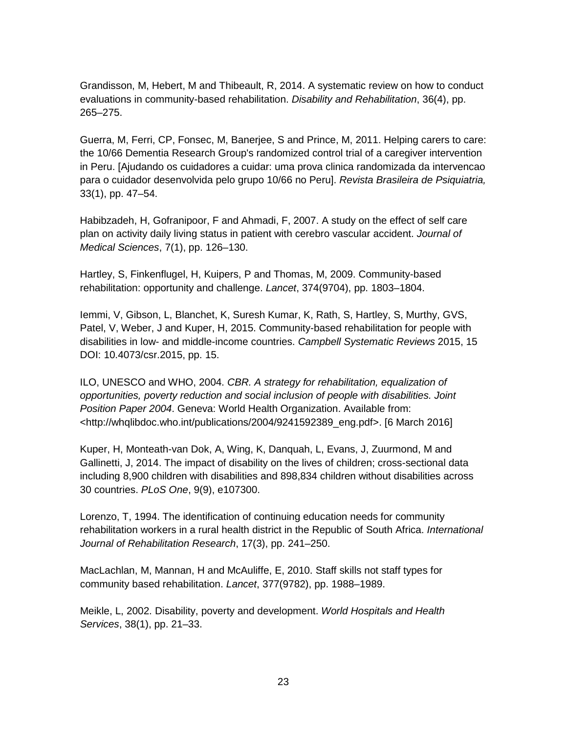Grandisson, M, Hebert, M and Thibeault, R, 2014. A systematic review on how to conduct evaluations in community-based rehabilitation. *Disability and Rehabilitation*, 36(4), pp. 265–275.

Guerra, M, Ferri, CP, Fonsec, M, Banerjee, S and Prince, M, 2011. Helping carers to care: the 10/66 Dementia Research Group's randomized control trial of a caregiver intervention in Peru. [Ajudando os cuidadores a cuidar: uma prova clinica randomizada da intervencao para o cuidador desenvolvida pelo grupo 10/66 no Peru]. *Revista Brasileira de Psiquiatria,* 33(1), pp. 47–54.

Habibzadeh, H, Gofranipoor, F and Ahmadi, F, 2007. A study on the effect of self care plan on activity daily living status in patient with cerebro vascular accident. *Journal of Medical Sciences*, 7(1), pp. 126–130.

Hartley, S, Finkenflugel, H, Kuipers, P and Thomas, M, 2009. Community-based rehabilitation: opportunity and challenge. *Lancet*, 374(9704), pp. 1803–1804.

Iemmi, V, Gibson, L, Blanchet, K, Suresh Kumar, K, Rath, S, Hartley, S, Murthy, GVS, Patel, V, Weber, J and Kuper, H, 2015. Community-based rehabilitation for people with disabilities in low- and middle-income countries. *Campbell Systematic Reviews* 2015, 15 DOI: 10.4073/csr.2015, pp. 15.

ILO, UNESCO and WHO, 2004. *CBR. A strategy for rehabilitation, equalization of opportunities, poverty reduction and social inclusion of people with disabilities. Joint Position Paper 2004*. Geneva: World Health Organization. Available from: [<http://whqlibdoc.who.int/publications/2004/9241592389\\_eng.pdf>](http://whqlibdoc.who.int/publications/2004/9241592389_eng.pdf). [6 March 2016]

Kuper, H, Monteath-van Dok, A, Wing, K, Danquah, L, Evans, J, Zuurmond, M and Gallinetti, J, 2014. The impact of disability on the lives of children; cross-sectional data including 8,900 children with disabilities and 898,834 children without disabilities across 30 countries. *PLoS One*, 9(9), e107300.

Lorenzo, T, 1994. The identification of continuing education needs for community rehabilitation workers in a rural health district in the Republic of South Africa. *International Journal of Rehabilitation Research*, 17(3), pp. 241–250.

MacLachlan, M, Mannan, H and McAuliffe, E, 2010. Staff skills not staff types for community based rehabilitation. *Lancet*, 377(9782), pp. 1988–1989.

Meikle, L, 2002. Disability, poverty and development. *World Hospitals and Health Services*, 38(1), pp. 21–33.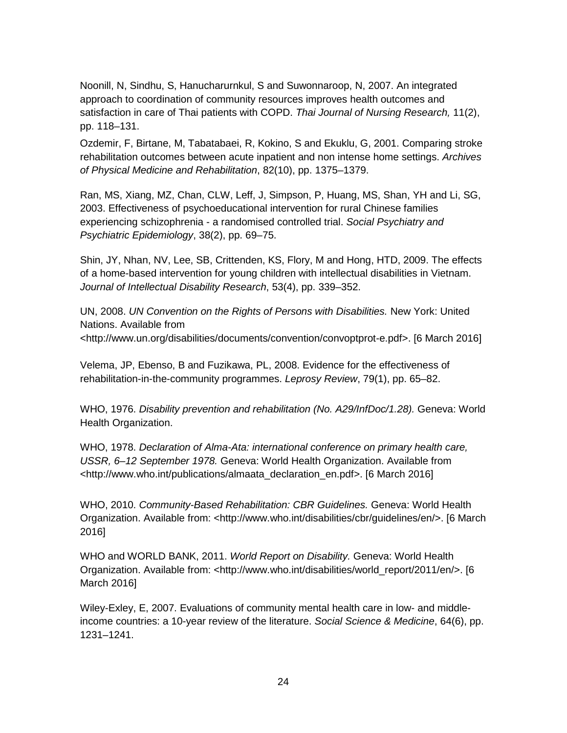Noonill, N, Sindhu, S, Hanucharurnkul, S and Suwonnaroop, N, 2007. An integrated approach to coordination of community resources improves health outcomes and satisfaction in care of Thai patients with COPD. *Thai Journal of Nursing Research,* 11(2), pp. 118–131.

Ozdemir, F, Birtane, M, Tabatabaei, R, Kokino, S and Ekuklu, G, 2001. Comparing stroke rehabilitation outcomes between acute inpatient and non intense home settings. *Archives of Physical Medicine and Rehabilitation*, 82(10), pp. 1375–1379.

Ran, MS, Xiang, MZ, Chan, CLW, Leff, J, Simpson, P, Huang, MS, Shan, YH and Li, SG, 2003. Effectiveness of psychoeducational intervention for rural Chinese families experiencing schizophrenia - a randomised controlled trial. *Social Psychiatry and Psychiatric Epidemiology*, 38(2), pp. 69–75.

Shin, JY, Nhan, NV, Lee, SB, Crittenden, KS, Flory, M and Hong, HTD, 2009. The effects of a home-based intervention for young children with intellectual disabilities in Vietnam. *Journal of Intellectual Disability Research*, 53(4), pp. 339–352.

UN, 2008. *UN Convention on the Rights of Persons with Disabilities.* New York: United Nations. Available from [<http://www.un.org/disabilities/documents/convention/convoptprot-e.pdf>](http://www.un.org/disabilities/documents/convention/convoptprot-e.pdf). [6 March 2016]

Velema, JP, Ebenso, B and Fuzikawa, PL, 2008. Evidence for the effectiveness of rehabilitation-in-the-community programmes. *Leprosy Review*, 79(1), pp. 65–82.

WHO, 1976. *Disability prevention and rehabilitation (No. A29/InfDoc/1.28).* Geneva: World Health Organization.

WHO, 1978. *Declaration of Alma-Ata: international conference on primary health care, USSR, 6–12 September 1978.* Geneva: World Health Organization. Available from [<http://www.who.int/publications/almaata\\_declaration\\_en.pdf>](http://www.who.int/publications/almaata_declaration_en.pdf). [6 March 2016]

WHO, 2010. *Community-Based Rehabilitation: CBR Guidelines.* Geneva: World Health Organization. Available from: [<http://www.who.int/disabilities/cbr/guidelines/en/>](http://www.who.int/disabilities/cbr/guidelines/en/). [6 March 2016]

WHO and WORLD BANK, 2011. *World Report on Disability.* Geneva: World Health Organization. Available from: [<http://www.who.int/disabilities/world\\_report/2011/en/>](http://www.who.int/disabilities/world_report/2011/en/). [6 March 2016]

Wiley-Exley, E, 2007. Evaluations of community mental health care in low- and middleincome countries: a 10-year review of the literature. *Social Science & Medicine*, 64(6), pp. 1231–1241.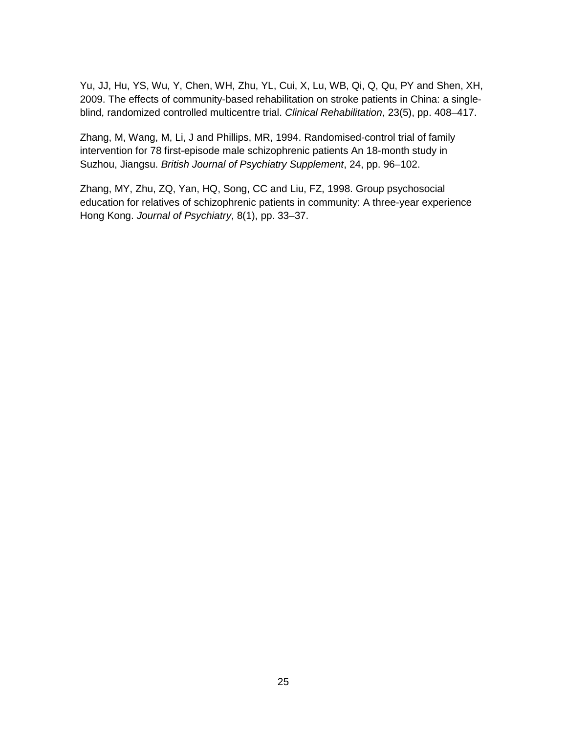Yu, JJ, Hu, YS, Wu, Y, Chen, WH, Zhu, YL, Cui, X, Lu, WB, Qi, Q, Qu, PY and Shen, XH, 2009. The effects of community-based rehabilitation on stroke patients in China: a singleblind, randomized controlled multicentre trial. *Clinical Rehabilitation*, 23(5), pp. 408–417.

Zhang, M, Wang, M, Li, J and Phillips, MR, 1994. Randomised-control trial of family intervention for 78 first-episode male schizophrenic patients An 18-month study in Suzhou, Jiangsu. *British Journal of Psychiatry Supplement*, 24, pp. 96–102.

Zhang, MY, Zhu, ZQ, Yan, HQ, Song, CC and Liu, FZ, 1998. Group psychosocial education for relatives of schizophrenic patients in community: A three-year experience Hong Kong. *Journal of Psychiatry*, 8(1), pp. 33–37.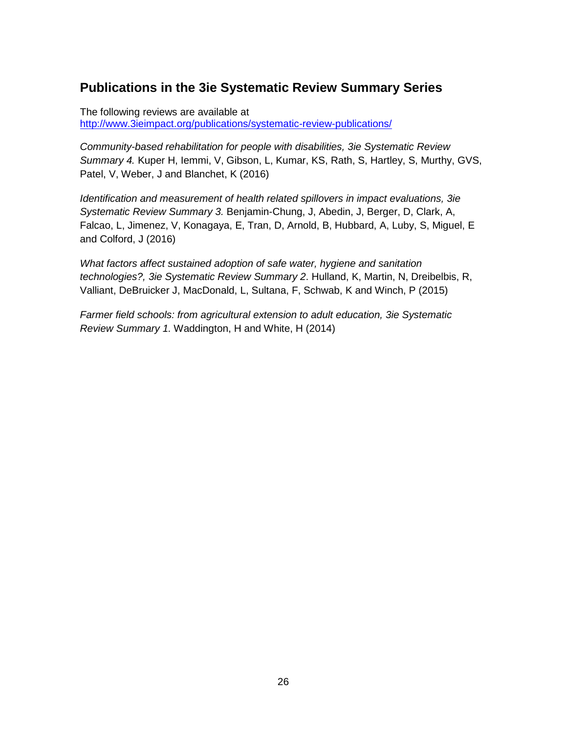# **Publications in the 3ie Systematic Review Summary Series**

The following reviews are available at <http://www.3ieimpact.org/publications/systematic-review-publications/>

*Community-based rehabilitation for people with disabilities, 3ie Systematic Review Summary 4.* Kuper H, Iemmi, V, Gibson, L, Kumar, KS, Rath, S, Hartley, S, Murthy, GVS, Patel, V, Weber, J and Blanchet, K (2016)

*Identification and measurement of health related spillovers in impact evaluations, 3ie Systematic Review Summary 3.* Benjamin-Chung, J, Abedin, J, Berger, D, Clark, A, Falcao, L, Jimenez, V, Konagaya, E, Tran, D, Arnold, B, Hubbard, A, Luby, S, Miguel, E and Colford, J (2016)

*What factors affect sustained adoption of safe water, hygiene and sanitation technologies?, 3ie Systematic Review Summary 2*. Hulland, K, Martin, N, Dreibelbis, R, Valliant, DeBruicker J, MacDonald, L, Sultana, F, Schwab, K and Winch, P (2015)

*Farmer field schools: from agricultural extension to adult education, 3ie Systematic Review Summary 1.* Waddington, H and White, H (2014)